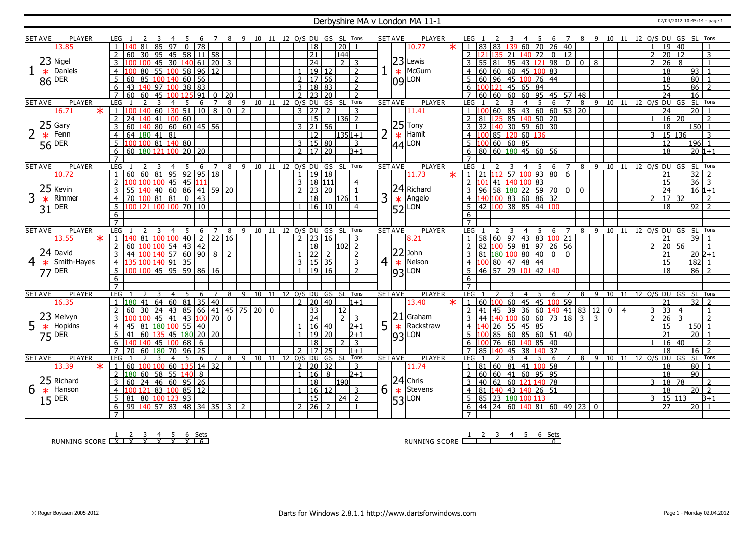#### Derbyshire MA v London MA 11-1 02/04/2012 10:45:14 - page 1

|                 | <b>SET AVE</b> | <b>PLAYER</b>         | LEG                          |                                  |                                         |                                                 |                |                |                | 8 9 10 11 12 O/S DU GS SL Tons |             |    |                |                     |                      |                       |                |                | <b>SET AVE</b> | <b>PLAYER</b>                     |         |                                                                        |               |                | 6                                  | $\overline{7}$    |             | 8 9 10 11 12 O/S DU GS SL Tons |             |                |                       |                      |                 |                     |
|-----------------|----------------|-----------------------|------------------------------|----------------------------------|-----------------------------------------|-------------------------------------------------|----------------|----------------|----------------|--------------------------------|-------------|----|----------------|---------------------|----------------------|-----------------------|----------------|----------------|----------------|-----------------------------------|---------|------------------------------------------------------------------------|---------------|----------------|------------------------------------|-------------------|-------------|--------------------------------|-------------|----------------|-----------------------|----------------------|-----------------|---------------------|
|                 |                | 13.85                 |                              |                                  | 85<br>97                                | $\mathbf{0}$                                    | 78             |                |                |                                |             |    |                | 18                  |                      | $\overline{20}$       |                |                |                | 10.77                             | $\star$ | 83 83                                                                  |               | 60 70          |                                    | $26 \mid 40$      |             |                                |             |                | $\overline{1}$        | 19 40                |                 |                     |
|                 |                |                       |                              | 60                               | 30   95   45                            |                                                 | 58 11 58       |                |                |                                |             |    |                | $\overline{21}$     |                      | $\overline{144}$      |                |                |                |                                   |         |                                                                        | $35 \mid 21$  | 140 72         |                                    | $\overline{0}$ 12 |             |                                |             |                | 2                     | 20 12                |                 | $\overline{3}$      |
|                 |                | $23$ Nigel            |                              |                                  | 45                                      | 30 140 61 20                                    |                |                | $\overline{3}$ |                                |             |    |                | $\overline{24}$     |                      | $\overline{2}$        | 3              |                |                | $ 23 $ Lewis                      |         | 55 81 95 43 121                                                        |               |                |                                    | $980008$          |             |                                |             |                | $\overline{2}$        | $\overline{26}$<br>8 |                 | $\mathbf{1}$        |
|                 |                | Daniels               |                              |                                  |                                         |                                                 |                |                |                |                                |             |    |                |                     |                      |                       |                |                |                | McGurn                            |         |                                                                        |               |                |                                    |                   |             |                                |             |                |                       |                      |                 |                     |
|                 | $\ast$         |                       |                              | 80                               | 55 100 58 96 12                         |                                                 |                |                |                |                                |             |    |                | 1   19   12         |                      |                       | $\overline{2}$ |                | $\ast$         |                                   |         | 60   60   60   45   100   83                                           |               |                |                                    |                   |             |                                |             |                |                       | 18                   | 93              |                     |
|                 |                | 86 DER                | 5                            | 85<br>60                         | 100 140                                 | 60   56                                         |                |                |                |                                |             |    |                | $2 \mid 17 \mid 56$ |                      |                       | $\overline{2}$ |                |                | $ 09 $ LON                        |         | 60 96 45 100 76 44                                                     |               |                |                                    |                   |             |                                |             |                |                       | 18                   | 80              |                     |
|                 |                |                       | 6                            | 43                               | 140 97 100 38 83                        |                                                 |                |                |                |                                |             |    | $\overline{3}$ | 18   83             |                      |                       | 2              |                |                |                                   |         | 100 121 45 65 84                                                       |               |                |                                    |                   |             |                                |             |                |                       | 15                   | 86              |                     |
|                 |                |                       |                              | 60                               | 45                                      |                                                 | 91             | $\Omega$       | 20             |                                |             |    |                |                     |                      |                       | $\overline{2}$ |                |                |                                   |         | 60   60   60   60   95   45   57   48                                  |               |                |                                    |                   |             |                                |             |                |                       | $\overline{24}$      | $\overline{16}$ |                     |
|                 | <b>SET AVE</b> | <b>PLAYER</b>         | LEG                          |                                  | 4                                       | 5                                               | 6              |                | 8              | 9                              | 10<br>11    |    | 12 O/S DU      |                     | GS                   | SL.                   | Tons           |                | <b>SET AVE</b> | <b>PLAYER</b>                     |         | LEG.                                                                   |               |                | 6                                  |                   | 8           | 9                              |             |                | 10 11 12 0/S DU GS    |                      |                 | SL Tons             |
|                 |                | 16.71<br>$\ast$       |                              |                                  | 60 130 51                               |                                                 | $\boxed{10}$ 8 |                | $\overline{0}$ | 2                              |             |    |                | $3 \mid 27$         |                      |                       | 3              |                |                | 11.41                             |         |                                                                        |               |                | $60 \ 85 \ 43 \ 60 \ 60 \ 53 \ 20$ |                   |             |                                |             |                |                       | 24                   | $\overline{20}$ |                     |
|                 |                |                       | $\overline{2}$               | 24<br>40                         | 41                                      | 100 60                                          |                |                |                |                                |             |    |                | 15                  |                      | $ 136 $ 2             |                |                |                |                                   |         | 81                                                                     |               |                | 125 85 140 50 20                   |                   |             |                                |             |                |                       | $16 \mid 20$         |                 | 2                   |
|                 |                | $25$ Gary             | $\overline{3}$               | 60                               | <mark>140</mark> 80   60   60   45   56 |                                                 |                |                |                |                                |             |    |                | $3 \mid 21 \mid 56$ |                      |                       | $\overline{1}$ |                |                | $\left 25\right $ Tony<br>* Hamit |         | $32 \left  140 \right  30 \left  59 \right  60 \left  30 \right $<br>3 |               |                |                                    |                   |             |                                |             |                |                       | 18                   |                 | $150$ 1             |
| $\overline{2}$  | $\ast$         |                       | $\overline{4}$               | 64 $ 180 $ 41   81               |                                         |                                                 |                |                |                |                                |             |    |                | 12                  |                      | 135 1 + 1             |                | $\overline{2}$ | $\ast$         |                                   |         | $\Omega$<br>$\overline{4}$                                             | 85 120 60 136 |                |                                    |                   |             |                                |             |                | 3                     | 15 136               |                 | 3                   |
|                 |                | $56$ DER              | -5                           | ۱n۵                              | 100 81 140 80                           |                                                 |                |                |                |                                |             |    |                | 3   15   80         |                      |                       | 3              |                |                | $ 44 $ LON                        |         | 5<br>100 60 60 85                                                      |               |                |                                    |                   |             |                                |             |                |                       | 12                   |                 | $196$ 1             |
|                 |                |                       | 6                            | 60 180 121 100 20 20             |                                         |                                                 |                |                |                |                                |             |    |                | $2 \mid 17 \mid 20$ |                      |                       | $B+1$          |                |                |                                   |         | 80   60   180   45   60   56<br>6                                      |               |                |                                    |                   |             |                                |             |                |                       | $\overline{18}$      |                 | $20 1+1$            |
|                 |                |                       | $\overline{7}$               |                                  |                                         |                                                 |                |                |                |                                |             |    |                |                     |                      |                       |                |                |                |                                   |         |                                                                        |               |                |                                    |                   |             |                                |             |                |                       |                      |                 |                     |
|                 | <b>SET AVE</b> | <b>PLAYER</b>         | LEG                          |                                  | $\overline{a}$                          | -5                                              | 6              | $\overline{7}$ | 8              | - 9                            | 10 11       |    |                |                     | 12 O/S DU GS SL Tons |                       |                |                | <b>SET AVE</b> | <b>PLAYER</b>                     |         | LEG                                                                    |               |                | 6                                  | $\overline{7}$    | 8           | - 9                            | 10          |                | 11 12 O/S DU GS       |                      |                 | SL Tons             |
|                 |                | 10.72                 |                              | 60   60   81   95   92   95   18 |                                         |                                                 |                |                |                |                                |             |    |                | 1   19   18         |                      |                       |                |                |                | 11.73                             | $\ast$  | 21 112 57 100                                                          |               |                | 93806                              |                   |             |                                |             |                |                       | 21                   | $\frac{32}{36}$ | $\overline{2}$      |
|                 |                |                       | $\overline{2}$               |                                  |                                         | $\frac{1}{45}$ $\frac{1}{45}$ $\frac{111}{111}$ |                |                |                |                                |             |    |                | 3   18   111        |                      |                       | $\overline{4}$ |                |                |                                   |         | $\overline{2}$<br>101                                                  | 41 140 100 83 |                |                                    |                   |             |                                |             |                |                       | 15                   |                 | $\vert$ 3           |
|                 | 25             | Kevin                 |                              |                                  | $140$ 60 86 41 59 20                    |                                                 |                |                |                |                                |             |    |                | $2 \mid 23 \mid 20$ |                      |                       |                |                |                | 24 Richard                        |         | 96                                                                     |               |                | 58 180 22 59 70 0                  |                   | $\mathbf 0$ |                                |             |                |                       | 24                   |                 | $16 1+1$            |
| 3               | $\ast$         | Rimmer                | $\overline{4}$               | 70                               | 1008181                                 | $\overline{0}$                                  | 43             |                |                |                                |             |    |                | 18                  |                      | 126                   |                | 3              |                | $\star$ Angelo                    |         | <u>  40    100    83    60    86    32  </u><br>$\overline{4}$         |               |                |                                    |                   |             |                                |             |                |                       | 17 32                |                 | 2                   |
|                 |                | DER                   | -5                           | 121 100 100 70 10                |                                         |                                                 |                |                |                |                                |             |    | $\mathbf{1}$   | 16 10               |                      |                       | $\overline{4}$ |                |                |                                   |         | 42 100 38 85 44 100                                                    |               |                |                                    |                   |             |                                |             |                |                       | 18                   | 92              | $\overline{2}$      |
|                 | 31             |                       | 6                            |                                  |                                         |                                                 |                |                |                |                                |             |    |                |                     |                      |                       |                |                |                | $ 52 $ LON                        |         | 6                                                                      |               |                |                                    |                   |             |                                |             |                |                       |                      |                 |                     |
|                 |                |                       | $\overline{7}$               |                                  |                                         |                                                 |                |                |                |                                |             |    |                |                     |                      |                       |                |                |                |                                   |         | $\overline{7}$                                                         |               |                |                                    |                   |             |                                |             |                |                       |                      |                 |                     |
|                 |                |                       |                              |                                  |                                         |                                                 |                |                |                |                                |             |    |                |                     |                      |                       |                |                |                |                                   |         |                                                                        |               |                |                                    |                   |             |                                |             |                |                       |                      |                 |                     |
|                 |                |                       |                              |                                  | 4                                       |                                                 |                |                |                | 9                              |             | 12 |                |                     |                      |                       |                |                |                |                                   |         |                                                                        |               |                | 6                                  |                   |             | 9                              |             | 11             |                       |                      |                 | Tons                |
|                 | <b>SET AVE</b> | <b>PLAYER</b>         | <b>LEG</b><br>$\overline{1}$ | 40<br>81                         | 100 100                                 | 5                                               | 6              |                | 8              | 10                             |             |    |                | O/S DU              | GS SL Tons           |                       |                |                | <b>SET AVE</b> | <b>PLAYER</b>                     |         | <b>LEG</b>                                                             |               |                |                                    |                   | 8           |                                | 10          |                | 12 O/S DU GS          |                      | <b>SL</b>       |                     |
|                 |                | 13.55<br>$\ast$       |                              |                                  |                                         | $ 40\rangle$                                    | $\overline{2}$ | 22 16          |                |                                |             |    |                | $2 \mid 23 \mid 16$ |                      |                       | $\overline{3}$ |                |                | 8.21                              |         | 58 60 97 43 83 100 21<br>$\overline{2}$                                |               |                |                                    |                   |             |                                |             |                | $\overline{2}$        | 21                   | $\overline{39}$ | $\overline{1}$      |
|                 |                |                       | $\overline{2}$               | 60                               |                                         | 154   43   42                                   |                |                |                |                                |             |    |                | 18                  |                      | $\vert$ 102 $\vert$ 2 |                |                |                |                                   |         | 82 100 59 81 97 26 56                                                  |               |                |                                    |                   |             |                                |             |                |                       | 20<br>56             |                 |                     |
|                 |                | $ 24 $ David          | $\overline{3}$               | 44                               | 100 140 57 60 90 8                      |                                                 |                |                | $\overline{2}$ |                                |             |    |                | $\sqrt{22}$ 2       |                      |                       | $\mathcal{L}$  |                |                | $ 22 $ John                       |         | 81 180 100 80 40                                                       |               |                | $\overline{0}$                     | $\mathbf{0}$      |             |                                |             |                |                       | 21                   |                 | $20 2+1$            |
| $\vert 4 \vert$ | $\ast$         | Smith-Hayes           | $\overline{4}$               |                                  | 100 140 91                              | 35                                              |                |                |                |                                |             |    |                | 3   15   35         |                      |                       | $\overline{3}$ | $\overline{4}$ |                | $\star$ Nelson                    |         | 100 80 47 48 44<br>$\overline{4}$                                      |               |                |                                    |                   |             |                                |             |                |                       | 15                   |                 | $182$ 1             |
|                 |                | <b>77 DER</b>         | $5^{\circ}$                  | 1100                             | $\frac{1}{145}$ 95 59 86 16             |                                                 |                |                |                |                                |             |    |                | $1 \mid 19 \mid 16$ |                      |                       | $\mathcal{L}$  |                |                | $ 93 $ LON                        |         | 46 57 29 101 42 140                                                    |               |                |                                    |                   |             |                                |             |                |                       | 18                   |                 | $86$ 2              |
|                 |                |                       | 6                            |                                  |                                         |                                                 |                |                |                |                                |             |    |                |                     |                      |                       |                |                |                |                                   |         | 6                                                                      |               |                |                                    |                   |             |                                |             |                |                       |                      |                 |                     |
|                 |                |                       |                              |                                  | 3                                       |                                                 |                |                |                |                                |             |    |                |                     |                      |                       |                |                |                |                                   |         |                                                                        |               |                |                                    |                   |             |                                |             |                |                       |                      |                 |                     |
| <b>SET AVE</b>  |                | PLAYER                | <b>LEG</b>                   |                                  | $\overline{4}$                          | 5                                               | 6              | $\overline{7}$ | 8              | 9                              | 10<br>11    |    |                |                     | 12 O/S DU GS SL Tons |                       |                |                | <b>SET AVE</b> | <b>PLAYER</b>                     |         | <b>LEG</b>                                                             |               | $\overline{4}$ | 5<br>6                             | $\overline{7}$    | 8           | - 9                            |             |                | 10 11 12 0/S DU GS SL |                      |                 | Tons                |
|                 |                | 16.35                 |                              | 41                               | 64                                      | 60 81                                           | 35             | $ 40\rangle$   |                |                                |             |    |                | $2 \mid 20 \mid 40$ |                      |                       | $1 + 1$        |                |                | 13.40                             | $\ast$  | 60                                                                     |               |                | 100 60 45 45 100 59                |                   |             |                                |             |                |                       | $\overline{21}$      | 32              |                     |
|                 |                |                       |                              |                                  | 24                                      | 43   85   66   41   45   75   20                |                |                |                |                                | $\mathbf 0$ |    |                | <u>33</u>           |                      | 12                    |                |                |                |                                   |         | 41<br>45                                                               | 39            | 36             | 60 <sub>1</sub>                    | 140 41 83 12      |             |                                | $\mathbf 0$ | $\overline{4}$ | 3                     | 33<br>$\overline{4}$ |                 |                     |
|                 |                | 23 Melvyn             |                              |                                  | 45   41                                 |                                                 | 43 100 70 0    |                |                |                                |             |    |                | 24                  |                      | 2 <sup>1</sup>        | 3              |                |                | $ 21 $ Graham                     |         | 44<br>3                                                                | 140 100       |                | 60 60 73 18                        |                   | $3 \mid 3$  |                                |             |                | 2                     | 26<br>3              |                 | 2                   |
| 5               | $\ast$         | Hopkins               | $\overline{4}$               |                                  | 180 100 55 40                           |                                                 |                |                |                |                                |             |    | $\mathbf{1}$   | 16 40               |                      |                       | $2 + 1$        | 5              |                | $\star$ Rackstraw                 |         | 26<br>$\overline{4}$                                                   | $55$ 45 85    |                |                                    |                   |             |                                |             |                |                       | 15                   | 150             |                     |
|                 |                | $ 75 $ <sup>DER</sup> | .5                           | 41                               | 60 135 45 180 20 20                     |                                                 |                |                |                |                                |             |    | $\mathbf{1}$   | 19 20               |                      |                       | $2+1$          |                |                | $ 93 $ LON                        |         | 5                                                                      |               |                | 85 60 85 60 51 40                  |                   |             |                                |             |                |                       | 21                   | $\overline{20}$ |                     |
|                 |                |                       | 6                            | 40                               | 140  45  100                            | 68                                              | 6              |                |                |                                |             |    |                | $\overline{18}$     |                      | $\mathcal{P}$         | 3              |                |                |                                   |         | 6<br>76<br>l OC                                                        | 60            |                | 140 85 40                          |                   |             |                                |             |                |                       | $16 \mid 40$         |                 | 2                   |
|                 |                |                       | $\overline{7}$               | 70                               | 60   180   70                           | 96                                              | 25             |                |                |                                |             |    | $\overline{2}$ | 17 25               |                      |                       | $1+1$          |                |                |                                   |         | $\overline{7}$<br>85                                                   | 45            | 38 1           | $\overline{37}$<br><b>40</b>       |                   |             |                                |             |                |                       | 18                   | 16              | $\overline{z}$      |
| <b>SET AVE</b>  |                | <b>PLAYER</b>         | LEG                          |                                  | $\overline{4}$<br>3                     | 5                                               | 6              | $7^{\circ}$    |                | 8 9 10 11 12 0/S DU            |             |    |                |                     | GS SL                |                       | Tons           |                | <b>SET AVE</b> | <b>PLAYER</b>                     |         | LEG                                                                    |               | 4              | 6<br>5                             | 7 8               |             | 9 10 11 12 0/S DU GS SL        |             |                |                       |                      |                 | Tons                |
|                 |                | 13.39<br>$\ast$       | l 1                          | 60                               |                                         | 60 135                                          | 14 32          |                |                |                                |             |    |                | $2 \mid 20 \mid 32$ |                      |                       | 3              |                |                | 11.74                             |         | 81 60 81 41 100                                                        |               |                | 58                                 |                   |             |                                |             |                |                       | 18                   | 80              |                     |
|                 |                |                       | <sup>2</sup>                 | 180                              | $60$ 58 55 140                          |                                                 | 8              |                |                |                                |             |    | $\overline{1}$ | 16                  | 8                    |                       | $2 + 1$        |                |                |                                   |         | 60 60 41 60 95 95                                                      |               |                |                                    |                   |             |                                |             |                |                       | 18                   | 90              |                     |
|                 |                | 25 Richard            | -3                           | 60                               | 24   46   60   95   26                  |                                                 |                |                |                |                                |             |    |                | $\overline{18}$     |                      | 190                   |                |                |                | $ 24 $ Chris                      |         | 40 62 60 121 140 78                                                    |               |                |                                    |                   |             |                                |             |                | 3                     | 18 78                |                 | $\mathcal{L}$       |
| 6               | $\ast$         | Hanson                | $\overline{4}$               | 121                              | 83 100 85 12                            |                                                 |                |                |                |                                |             |    |                | 1   16   12         |                      |                       | 3              | 6              | $\ast$         | Stevens                           |         | $\overline{81}$<br>$\overline{4}$                                      |               |                | 140 43 140 26 51                   |                   |             |                                |             |                |                       | $\overline{18}$      |                 | $\overline{20}$   2 |
|                 |                | DER                   | 5                            | 81                               | 80   100   123                          | $\sqrt{93}$                                     |                |                |                |                                |             |    |                | $\overline{15}$     |                      | $\overline{24}$       | $\overline{2}$ |                |                |                                   |         | 85 23 180 100 113                                                      |               |                |                                    |                   |             |                                |             |                | 3                     | 15 113               |                 | $B+1$               |
|                 | 15             |                       | 6                            | 99 140 57 83 48 34 35            |                                         |                                                 |                |                | $\overline{3}$ | 2                              |             |    |                | 2   26   2          |                      |                       |                |                |                | $53$ LON                          |         | 44   24   60   140   81   60   49   23   0<br>6                        |               |                |                                    |                   |             |                                |             |                |                       | $\overline{27}$      | 20              |                     |

RUNNING SCORE 1 X 2 X 3 X 4 X 5 X 6 X Sets 6

RUNNING SCORE 1 2 3 4 5 6 Sets 0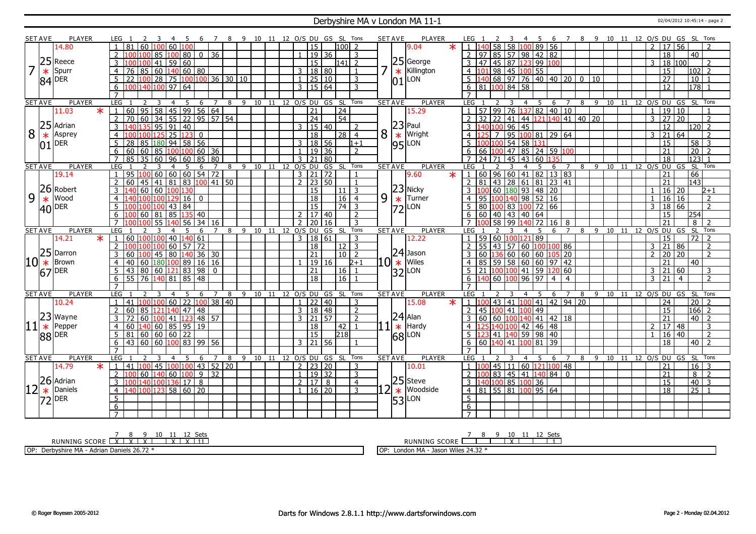#### Derbyshire MA v London MA 11-1 02/04/2012 10:45:14 - page 2

|   | <b>SET AVE</b> | <b>PLAYER</b>                | LEG                                             | 7                              | 8 9 10 11 12 O/S DU GS SL Tons |    |    |                             |                      |             |                                   |   | <b>SET AVE</b><br><b>PLAYER</b> |        | LEG                                                                         |                      | -6                                 |   |            |          |                | 7 8 9 10 11 12 O/S DU GS SL Tons |                                         |
|---|----------------|------------------------------|-------------------------------------------------|--------------------------------|--------------------------------|----|----|-----------------------------|----------------------|-------------|-----------------------------------|---|---------------------------------|--------|-----------------------------------------------------------------------------|----------------------|------------------------------------|---|------------|----------|----------------|----------------------------------|-----------------------------------------|
|   |                | 14.80                        | 60<br>60<br>81<br>100                           | <b>LOO</b>                     |                                |    |    |                             | 15                   |             | $100$   2                         |   | 9.04                            | $\ast$ | $1 \vert 140$<br>58 <sup>1</sup><br>58                                      | 100 89 56            |                                    |   |            |          | $\overline{2}$ | $\overline{17}$<br>56            |                                         |
|   |                |                              | $\mathcal{P}$<br>85<br>100<br>100               | $\overline{80}$<br>$0 \mid 36$ |                                |    |    |                             | $19$ 36              |             | 3                                 |   |                                 |        | $2 \overline{97}$<br>85 57 98 42 82                                         |                      |                                    |   |            |          |                | 18                               | $\overline{40}$                         |
|   |                | $25$ Reece                   | $\overline{41}$<br>$\overline{59}$<br>3         | 60                             |                                |    |    |                             | $\overline{15}$      |             | l141  2                           |   | 25 George                       |        | $3 \mid 47$<br>45 87 123 99 100                                             |                      |                                    |   |            |          |                | 18 100<br>3                      | $\overline{\phantom{a}}$                |
|   | $\ast$         | Spurr                        | 60<br>$\overline{4}$<br>85<br>76                | 140 60 80                      |                                |    |    |                             | 3   18   80          |             | $\overline{1}$                    |   | Killington<br>$\ast$            |        | 98 45 100 55<br>$4 \, 101$                                                  |                      |                                    |   |            |          |                | $\overline{15}$                  | $ 102 $ 2                               |
|   |                |                              | 5<br> 28 <br>22<br>100                          | 75   100   100   36   30   10  |                                |    |    | $\mathbf{1}$                | 25 10                |             | 3                                 |   | LON <sup>1</sup>                |        | <mark>140</mark> 68 97 76 40 40 20 0<br>5 1                                 |                      |                                    |   | $\vert$ 10 |          |                | 27                               | $\overline{10}$                         |
|   |                | $84$ DER                     | 140 100 <br>97<br>6                             | 64                             |                                |    |    |                             | $3 \mid 15 \mid 64$  |             | 3                                 |   | 01                              |        | 81 100 84 58<br>6                                                           |                      |                                    |   |            |          |                | 12                               | 178                                     |
|   |                |                              | $\overline{7}$                                  |                                |                                |    |    |                             |                      |             |                                   |   |                                 |        |                                                                             |                      |                                    |   |            |          |                |                                  |                                         |
|   | <b>SET AVE</b> | <b>PLAYER</b>                | LEG<br>3<br>4                                   | -5<br>6<br>$\overline{7}$      | 8 9 10 11 12 0/S DU GS SL      |    |    |                             |                      |             | Tons                              |   | <b>SET AVE</b><br><b>PLAYER</b> |        | LEG                                                                         | 5<br>$\overline{4}$  | 6<br>$\overline{7}$                |   |            |          |                | 8 9 10 11 12 0/S DU GS SL Tons   |                                         |
|   |                | $\ast$<br>11.03              | 60                                              | 95   58   45   99   56   64    |                                |    |    |                             | 21                   |             | $\sqrt{24}$                       |   | 15.29                           |        | 57 99<br>76<br>$\overline{1}$                                               |                      | $\overline{37}$ 82 40 10           |   |            |          | $\mathbf{1}$   | 19<br>$\overline{10}$            |                                         |
|   |                |                              | $\overline{2}$<br>34<br>55<br>70<br>60          | 22 95 57 54                    |                                |    |    |                             | $\overline{24}$      |             | 54                                |   |                                 |        | $32 \overline{22}$                                                          |                      | 41   44   121   140   41   40   20 |   |            |          |                | $27$ 20<br>$\overline{3}$        | $\overline{2}$                          |
|   |                | $25$ Adrian                  | 91<br>$\overline{3}$<br>95                      | 40                             |                                |    |    |                             | 3   15   40          |             | $\mathcal{P}$                     |   | $ 23 $ Paul                     |        | $96 \mid 45$<br>3<br>40 100                                                 |                      |                                    |   |            |          |                | 12                               | $120 \overline{)2}$                     |
| 8 |                | Asprey                       | $\overline{25}$<br>125<br>$\overline{4}$<br>100 | 123<br>$\mathbf{0}$            |                                |    |    |                             | $\overline{18}$      |             | 28<br>$\overline{4}$              | 8 | Wright                          |        | $\overline{95}$<br>$\overline{7}$<br>$\overline{4}$                         |                      | 100 81 29 64                       |   |            |          |                | $\overline{21}$<br>64<br>3       | $\overline{\phantom{0}}$                |
|   | $\ast$         |                              | $\overline{5}$<br>85 180<br>28                  | $94$ 58 56                     |                                |    |    |                             | 3   18   56          |             | $1 + 1$                           |   | $\ast$                          |        | 54<br>5 It<br>001100                                                        | 58 131               |                                    |   |            |          |                | $\overline{15}$                  | $\overline{\mathbf{3}}$                 |
|   | 01             | DER                          | 60<br>6<br>60<br>85                             | 100 100 60 36                  |                                |    |    | $\mathbf{1}$                | 19 36                |             | $\overline{2}$                    |   | LON<br> 95                      |        | 66   100   47   85   24   59   100<br>6                                     |                      |                                    |   |            |          |                | $\overline{21}$                  | 58<br>$\overline{20}$<br>$\overline{2}$ |
|   |                |                              | $\overline{7}$<br>35<br>60                      | 60 85 80                       |                                |    |    |                             | $3 \mid 21 \mid 80$  |             |                                   |   |                                 |        | 45<br>$\overline{7}$<br>$124$ 71                                            |                      |                                    |   |            |          |                | $\overline{18}$                  | 123                                     |
|   | <b>SET AVE</b> | <b>PLAYER</b>                | 96<br>85<br>LEG<br>3<br>4<br>$\overline{1}$     | -5<br>7                        | 8                              |    |    | 9 10 11 12 O/S DU           |                      |             | GS SL Tons                        |   | <b>SET AVE</b><br><b>PLAYER</b> |        | LEG.                                                                        | 43 60 135            | 6<br>7                             | 8 | 9 10       |          |                | 11 12 O/S DU GS                  | SL Tons                                 |
|   |                | 19.14                        | 95 100<br>$\mathbf{1}$                          | 6<br>60 60 60 54 72            |                                |    |    |                             | $3 \ 21 \ 72$        |             | $\mathbf{1}$                      |   | 9.60                            | $\ast$ | 1   60   96   60   41   82   13   83                                        | 5                    |                                    |   |            |          |                | 21                               | 66                                      |
|   |                |                              | $\overline{2}$<br>60<br>81<br>45<br>41          | 83 100 41 50                   |                                |    |    |                             | $2 \mid 23 \mid 50$  |             | $\mathbf{1}$                      |   |                                 |        | 43 28 61 81 23 41<br>$\overline{2}$<br>$\overline{81}$                      |                      |                                    |   |            |          |                | $\overline{21}$                  | 143                                     |
|   |                | 26 Robert                    | 60 60<br>3<br>100                               | 130                            |                                |    |    |                             | 15                   |             | $\mathcal{F}$<br>11               |   | $23$ Nicky                      |        | 60 180 93 48 20                                                             |                      |                                    |   |            |          |                | $16 \mid 20$                     | $2+1$                                   |
| 9 |                | Wood                         |                                                 |                                |                                |    |    |                             |                      |             |                                   |   | Turner                          |        |                                                                             |                      |                                    |   |            |          |                |                                  |                                         |
|   | $\ast$         |                              | $\overline{4}$<br>29                            | 16<br>$\Omega$                 |                                |    |    |                             | 18                   |             | 16<br>$\overline{4}$              | 9 | ∣∗                              |        | 95<br>$\overline{4}$                                                        | $98$ 52 16           |                                    |   |            |          |                | 16<br>$ 16\rangle$               | $\overline{2}$                          |
|   |                | $ 40 $ <sup>DER</sup>        | 43                                              | 84                             |                                |    |    |                             | $\overline{15}$      |             | $\overline{74}$<br>$\overline{3}$ |   | LON<br>$ 72\rangle$             |        | 80 100                                                                      | 83 100 72 66         |                                    |   |            |          |                | 3<br>18 66                       | $\overline{z}$                          |
|   |                |                              | $60$   81                                       | 85 135 40                      |                                |    |    |                             | $\sqrt{2}$   17   40 |             | $\overline{2}$                    |   |                                 |        | 6   60   40   43   40   64                                                  |                      |                                    |   |            |          |                | 15                               | 254                                     |
|   | <b>SET AVE</b> | <b>PLAYER</b>                | 140<br>55<br>LEG<br>3<br>4                      | 56<br>16<br>34 l<br>5<br>7     | 8<br>9                         | 10 | 11 | $\overline{2}$<br>12 0/S DU | l 20                 | 16<br>GS SL | $\mathcal{R}$<br>Tons             |   | <b>SET AVE</b><br><b>PLAYER</b> |        | 58<br>99<br>$\overline{7}$<br>LEG                                           | 72<br>5              | 16<br>8<br>6<br>$\overline{7}$     | 8 | -9         | 10<br>11 |                | 21<br>$12$ O/S DU GS             | 8<br><b>SL</b><br>Tons                  |
|   |                | 14.21<br>$\ast$              | 60<br>100 100<br>40<br>$\mathbf{1}$             | 6<br>140 61                    |                                |    |    | $\mathcal{F}$               | 18 61                |             | 3                                 |   | 12.22                           |        | 59 60 100 121<br>$\overline{1}$                                             | 89                   |                                    |   |            |          |                | 15                               | $\overline{72}$<br>$\overline{z}$       |
|   |                |                              | 60<br>$\mathcal{P}$<br>100                      |                                |                                |    |    |                             |                      |             | $12\overline{3}$                  |   |                                 |        | $\overline{2}$<br>  55   43   57   60   100   100   86                      |                      |                                    |   |            |          |                |                                  |                                         |
|   |                |                              |                                                 |                                |                                |    |    |                             |                      |             |                                   |   |                                 |        |                                                                             |                      |                                    |   |            |          |                |                                  |                                         |
|   |                |                              |                                                 | 57 72                          |                                |    |    |                             | 18                   |             |                                   |   |                                 |        |                                                                             |                      |                                    |   |            |          |                | $\overline{21}$<br>3<br>86       | $\overline{2}$                          |
|   |                | 25 Darron                    | 45 80 <br>3<br>60                               | $140$ 36 30                    |                                |    |    |                             | 21                   |             | $\sqrt{10}$                       |   | $ 24 $ Jason                    |        | 60   136   60   60   60   105   20<br>3                                     |                      |                                    |   |            |          | $\overline{2}$ | $\overline{20}$<br>20            | $\overline{2}$                          |
|   |                | $10*$ Brown                  | $\overline{4}$<br>40<br>180 100<br>60           | 89 16 16                       |                                |    |    |                             | 19 16                |             | $2+1$                             |   | $10 \times$<br><b>Wiles</b>     |        | 85<br>59 58 60 60 97 42<br>$\overline{4}$                                   |                      |                                    |   |            |          |                | 21                               | 40                                      |
|   |                | $67$ <sup>DER</sup>          | $\overline{5}$<br>43                            | 80 60 121 83 98 0              |                                |    |    |                             | $\overline{21}$      |             | 16<br>$\mathbf{1}$                |   | $ 32 $ LON                      |        | $5 \mid 21 \mid 100 \mid 100 \mid 41 \mid 59 \mid 120 \mid 60$              |                      |                                    |   |            |          |                | 21 <br>3<br>60                   | 3                                       |
|   |                |                              | 6<br>$55$ 76 140 81 85 48                       |                                |                                |    |    |                             | $\overline{18}$      |             | 16 <br>$\overline{1}$             |   |                                 |        | $6 \overline{140} \overline{60} \overline{100} \overline{96} \overline{97}$ |                      | $\overline{4}$<br>$\overline{4}$   |   |            |          |                | $3 \mid 21$<br>$\overline{4}$    | $\overline{2}$                          |
|   |                |                              | $\overline{7}$                                  |                                |                                |    |    |                             |                      |             |                                   |   |                                 |        | $\overline{7}$                                                              |                      |                                    |   |            |          |                |                                  |                                         |
|   | <b>SET AVE</b> | <b>PLAYER</b>                | LEG                                             | $\overline{7}$<br>6            | 8                              |    |    |                             |                      |             | 9 10 11 12 O/S DU GS SL Tons      |   | <b>PLAYER</b><br><b>SET AVE</b> |        | LEG                                                                         |                      | $\overline{7}$<br>6                | 8 | -9         |          |                | 10 11 12 O/S DU GS SL            | Tons                                    |
|   |                | 10.24                        | 60<br>41                                        | 22<br>100 38 40                |                                |    |    |                             | $1$   22   40        |             | 3                                 |   | 15.08                           |        | 43<br>41 <sup>1</sup><br>-1 l1                                              | 00 <sup>141</sup>    | $142$ 94 20                        |   |            |          |                | 24                               | 20                                      |
|   |                |                              | $\overline{2}$<br>60<br>140<br>85<br>1 2 1      | 47 48                          |                                |    |    |                             | 3   18   48          |             | $\overline{2}$                    |   |                                 |        | $\overline{2}$<br><sup>45</sup><br>l nn l                                   | 41 100 49            |                                    |   |            |          |                | 15                               | $ 166 $ 2                               |
|   |                |                              | 3<br>60<br>41<br>100                            | $\frac{1}{48}$ 57<br>123       |                                |    |    |                             | 3 21 57              |             | $\overline{2}$                    |   | $24$ Alan                       |        | 3<br>60 60 100 140 41 42 18                                                 |                      |                                    |   |            |          |                | 21                               | 40<br>$\vert$ 2                         |
|   |                | $ 11 $ $\frac{23}{1}$ Pepper | 140 60 85 95 19<br>$\overline{4}$<br>60         |                                |                                |    |    |                             | 18                   |             | 42<br>$\overline{1}$              |   | Hardy<br>$\ast$                 |        | 4<br>40 100                                                                 | 42 46 48             |                                    |   |            |          |                | 17 48<br>$\overline{2}$          | 3                                       |
|   |                | 88 DER                       | 60 60 60 22<br>5<br>81                          |                                |                                |    |    |                             | 15                   |             | 218                               |   | LON<br> 68                      |        | 41 140 59 98 40<br>$5^{\circ}$<br>123                                       |                      |                                    |   |            |          | $\overline{1}$ | $16 \mid 40$                     | $\overline{2}$                          |
|   |                |                              | 60<br>60<br>6<br>$\overline{43}$<br>100         | 83   99   56                   |                                |    |    |                             | 3   21   56          |             |                                   |   |                                 |        | 60 140 41 100 81<br>6                                                       |                      | $\overline{39}$                    |   |            |          |                | 18                               | 40<br>$\overline{z}$                    |
|   |                |                              | $\overline{7}$                                  |                                |                                |    |    |                             |                      |             |                                   |   |                                 |        | $\overline{7}$                                                              |                      |                                    |   |            |          |                |                                  |                                         |
|   | <b>SET AVE</b> | <b>PLAYER</b>                | LEG<br>$\overline{2}$<br>3<br>$\overline{4}$    | 5<br>6<br>$\overline{7}$       | 8                              |    |    |                             |                      |             | 9 10 11 12 O/S DU GS SL Tons      |   | <b>SET AVE</b><br><b>PLAYER</b> |        | LEG <sub>1</sub><br>3                                                       | $\overline{4}$<br>-5 | -6<br>$\overline{7}$               |   |            |          |                | 8 9 10 11 12 O/S DU GS SL Tons   |                                         |
|   |                | 14.79<br>$\star$             | 100<br>$\mathbf{1}$<br>41                       | 45 100 100 43 52 20            |                                |    |    |                             | 2 2 2 2 2 0          |             | 3                                 |   | 10.01                           |        | 45 11 60 121 100 48<br>$1\quad1$                                            |                      |                                    |   |            |          |                | 21                               | 16<br>$\mathbf{3}$                      |
|   |                |                              | 60<br>$\overline{2}$<br>140<br>60               | $9 \mid 32$<br>100             |                                |    |    | $\mathbf{1}$                | 19 32                |             | 3                                 |   |                                 |        | 83 45 41 140 84 0<br>$\mathcal{P}$                                          |                      |                                    |   |            |          |                | $\overline{21}$                  | 8<br><sup>2</sup>                       |
|   |                | $26$ Adrian                  | 3<br>136<br>1401100                             | 8<br>17 <sup>1</sup>           |                                |    |    |                             | 2  17   8            |             | $\overline{4}$                    |   | $ 25 $ Steve                    |        | 3 140 100 85 100 36                                                         |                      |                                    |   |            |          |                | 15                               | 40<br>$\overline{3}$                    |
|   | $\ast$         | Daniels                      | $\overline{4}$<br>100 123                       | 58   60   20                   |                                |    |    |                             | $1 \mid 16 \mid 20$  |             | 3                                 | 2 | Woodside<br>$\ast$              |        | 4 81 55 81 100 95 64                                                        |                      |                                    |   |            |          |                | $\overline{18}$                  | $\overline{25}$<br>$\overline{1}$       |
|   |                | $ 72 ^{DER}$                 | 5                                               |                                |                                |    |    |                             |                      |             |                                   |   | LON<br> 53                      |        | 5                                                                           |                      |                                    |   |            |          |                |                                  |                                         |
|   |                |                              | 6<br>$\overline{7}$                             |                                |                                |    |    |                             |                      |             |                                   |   |                                 |        | $6\overline{6}$<br>$7^{\circ}$                                              |                      |                                    |   |            |          |                |                                  |                                         |

RUNNING SCORE 7 X 8 X 9 X 10 11 X 12 X Sets 11

OP: Derbyshire MA - Adrian Daniels 26.72 \*

RUNNING SCORE 7 8 9 10 X 11 12 Sets 1

OP: London MA - Jason Wiles 24.32 \*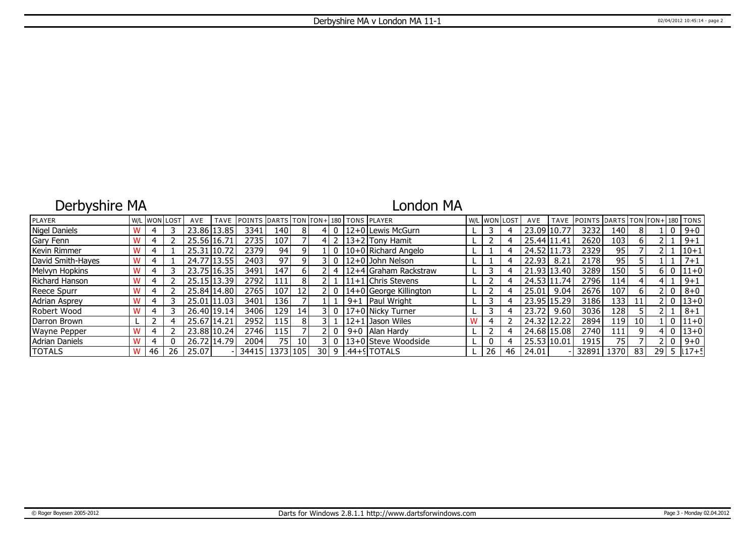# Derbyshire MA

### London MA

| PLAYER               |    | <b>W/L WON LOST</b> | AVE   | <b>TAVE</b> | <b>IPOINTS IDARTS ITON ITON+1180   TONS IPLAYER</b> |                  |                 |                 |      |         |                          |    | W/L WON LOST | AVE         | <b>TAVE</b> | <b>POINTS</b> | DARTS TON TON+ 180 TONS |    |      |       |            |
|----------------------|----|---------------------|-------|-------------|-----------------------------------------------------|------------------|-----------------|-----------------|------|---------|--------------------------|----|--------------|-------------|-------------|---------------|-------------------------|----|------|-------|------------|
| <b>Nigel Daniels</b> |    |                     |       | 23.86 13.85 | 3341                                                | 140 I            |                 |                 |      |         | l 12+0 l Lewis McGurn    |    |              | 23.09 10.77 |             | 3232          | 140                     |    |      |       | $9 + 0$    |
| Gary Fenn            |    |                     |       | 25.56 16.71 | 2735                                                | 107              |                 |                 |      |         | $ 13+2 $ Tony Hamit      |    |              | 25.44 11.41 |             | 2620          | 103                     |    |      |       | $9 + 1$    |
| Kevin Rimmer         |    |                     |       | 25.31 10.72 | 2379                                                | 94               |                 |                 |      |         | 10+0 Richard Angelo      |    |              | 24.52 11.73 |             | 2329          | 95                      |    |      |       | $ 10+1$    |
| David Smith-Hayes    |    |                     |       | 24.77 13.55 | 2403                                                | 97               | ΩI              |                 |      |         | $ 12+0 $ John Nelson     |    |              | 22.93       | 8.21        | 2178          | 95                      |    |      |       | $7 + 1$    |
| Melvyn Hopkins       |    |                     |       | 23.75 16.35 | 3491                                                | 147              | 6               |                 | 4    |         | 12+4 Graham Rackstraw    |    |              |             | 21.93 13.40 | 3289          | 150                     |    |      |       | $ 11+0 $   |
| Richard Hanson       |    |                     |       | 25.15 13.39 | 2792                                                | 1111             | 8               |                 |      |         | 11+1 Chris Stevens       |    |              |             | 24.53 11.74 | 2796          | ا 14                    |    |      |       | $9 + 1$    |
| Reece Spurr          |    |                     |       | 25.84 14.80 | 2765                                                | 1071             | 12              |                 |      |         | $14+0$ George Killington |    |              | 25.01       | 9.04        | 2676          | 107                     |    |      |       | $8 + 0$    |
| <b>Adrian Asprey</b> |    |                     |       | 25.01 11.03 | 3401                                                | 136 l            |                 |                 |      | $9 + 1$ | Paul Wright              |    |              | 23.95 15.29 |             | 3186          | 133                     | 11 |      | 2   O | $13+0$     |
| Robert Wood          |    |                     |       | 26.40 19.14 | 3406                                                | 129 l            | 14              |                 | 31 O |         | $17+0$ Nicky Turner      |    |              | 23.72       | 9.60        | 3036          | 128                     |    |      |       | $8 + 1$    |
| Darron Brown         |    |                     |       | 25.67 14.21 | 2952                                                | 115 <sup> </sup> | 8               |                 |      |         | $12+1$ Jason Wiles       |    |              | 24.32 12.22 |             | 2894          | 119                     | 10 |      |       | $ 11+0 $   |
| <b>Wayne Pepper</b>  |    |                     |       | 23.88 10.24 | 2746                                                | 115 l            |                 |                 |      |         | 9+0   Alan Hardy         |    |              |             | 24.68 15.08 | 2740          | 111.                    | q  |      |       | $ 13+0 $   |
| Adrian Daniels       |    |                     |       | 26.72 14.79 | 2004                                                | 75               | 10 <sup>1</sup> |                 |      |         | 13+0 Steve Woodside      | 0  |              | 25.53 10.01 |             | 1915          | 75                      |    |      |       | $9 + 0$    |
| <b>TOTALS</b>        | 46 | 26                  | 25.07 |             | 34415                                               | 1373   105       |                 | 30 <sup>1</sup> | 9    |         | $1.44 + SI$ TOTALS       | 26 | 46           | 24.01       |             | 32891         | 1370                    | 83 | 29 l |       | $5$   17+5 |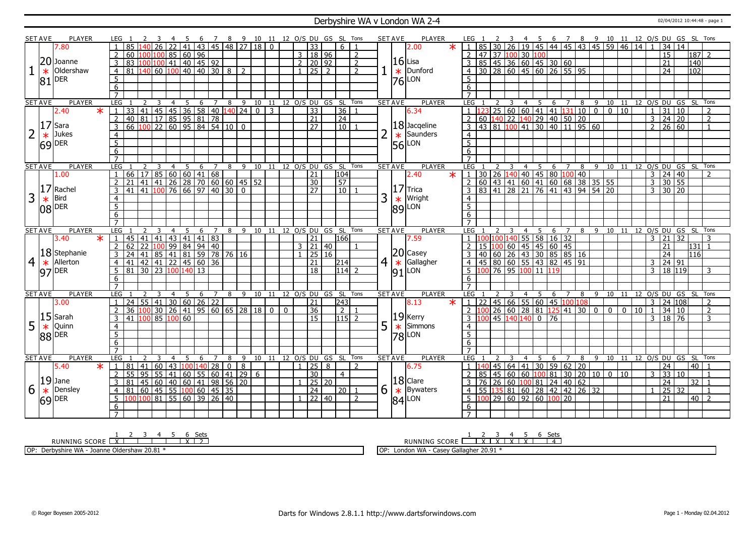### Derbyshire WA v London WA 2-4 02/04/2012 10:44:48 - page 1

|                | <b>SET AVE</b> | <b>PLAYER</b>             |                     |                                                                                           |                                                                             |                |        |                |                |                | 6 7 8 9 10 11 12 0/S DU GS SL Tons |    |    |                |                     |       |                              |                |   | <b>SET AVE</b> | PLAYER                |        | LEG 1                                                         |    |                |   |                 |                  |                                                                             |                |            |                             |                                                                                             |                 |                                                                                        |                |                      |                 |                  |                |
|----------------|----------------|---------------------------|---------------------|-------------------------------------------------------------------------------------------|-----------------------------------------------------------------------------|----------------|--------|----------------|----------------|----------------|------------------------------------|----|----|----------------|---------------------|-------|------------------------------|----------------|---|----------------|-----------------------|--------|---------------------------------------------------------------|----|----------------|---|-----------------|------------------|-----------------------------------------------------------------------------|----------------|------------|-----------------------------|---------------------------------------------------------------------------------------------|-----------------|----------------------------------------------------------------------------------------|----------------|----------------------|-----------------|------------------|----------------|
|                |                | 7.80                      |                     | 85                                                                                        | $\overline{26}$                                                             |                |        |                |                |                | 41 43 45 48 27 18 0                |    |    |                | $\overline{33}$     |       | 6                            |                |   |                | 2.00                  | $\ast$ |                                                               | 85 |                |   |                 |                  |                                                                             |                |            |                             |                                                                                             |                 | 2 3 4 5 6 7 8 9 10 11 12 O/S DU GS SL Tons<br>30 26 19 45 44 45 43 45 59 46 14 1 34 14 |                |                      |                 |                  |                |
|                |                |                           | $\overline{2}$      | 60 100 100 85 60 96                                                                       |                                                                             |                |        |                |                |                |                                    |    |    |                | 3   18   96         |       |                              | $\overline{2}$ |   |                |                       |        |                                                               |    |                |   |                 | 47 37 100 30 100 |                                                                             |                |            |                             |                                                                                             |                 |                                                                                        |                | 15                   |                 | $187$ 2          |                |
|                |                | 20 Joanne                 |                     |                                                                                           |                                                                             |                |        |                |                |                |                                    |    |    |                |                     |       |                              |                |   | $ 16 $ Lisa    |                       |        |                                                               |    |                |   |                 |                  |                                                                             |                |            |                             |                                                                                             |                 |                                                                                        |                |                      |                 |                  |                |
|                |                |                           | $\overline{3}$      |                                                                                           |                                                                             |                |        |                |                |                |                                    |    |    |                | $2$ 20 92           |       |                              | $\overline{2}$ |   |                |                       |        |                                                               |    |                |   |                 |                  | 85 45 36 60 45 30 60<br>30 28 60 45 60 26 55 95                             |                |            |                             |                                                                                             |                 |                                                                                        |                | $\overline{21}$      |                 | 140              |                |
|                | $\ast$         | Oldershaw                 | $\overline{4}$      |                                                                                           |                                                                             |                |        |                |                |                | $8 \mid 2$                         |    |    |                | $1$   25   2        |       |                              | $\overline{2}$ |   | $\ast$         | Dunford               |        |                                                               |    |                |   |                 |                  |                                                                             |                |            |                             |                                                                                             |                 |                                                                                        |                | $\overline{24}$      |                 | 102              |                |
|                | 81             | DER                       | 5                   |                                                                                           |                                                                             |                |        |                |                |                |                                    |    |    |                |                     |       |                              |                |   | 76             | LON                   |        | 5                                                             |    |                |   |                 |                  |                                                                             |                |            |                             |                                                                                             |                 |                                                                                        |                |                      |                 |                  |                |
|                |                |                           | 6                   |                                                                                           |                                                                             |                |        |                |                |                |                                    |    |    |                |                     |       |                              |                |   |                |                       |        | 6                                                             |    |                |   |                 |                  |                                                                             |                |            |                             |                                                                                             |                 |                                                                                        |                |                      |                 |                  |                |
|                |                |                           | $\overline{7}$      |                                                                                           |                                                                             |                |        |                |                |                |                                    |    |    |                |                     |       |                              |                |   |                |                       |        |                                                               |    |                |   |                 |                  |                                                                             |                |            |                             |                                                                                             |                 |                                                                                        |                |                      |                 |                  |                |
|                | <b>SET AVE</b> | <b>PLAYER</b>             | <b>LEG</b>          | 2                                                                                         | 3                                                                           | $\overline{4}$ | 5      | 6 <sup>6</sup> | $\overline{7}$ |                | 8 9 10 11 12 0/S DU GS SL Tons     |    |    |                |                     |       |                              |                |   | <b>SET AVE</b> | <b>PLAYER</b>         |        | LEG                                                           |    |                | 3 | $\overline{4}$  | $5\overline{5}$  |                                                                             |                |            | $6 \quad 7 \quad 8 \quad 9$ |                                                                                             |                 | 10 11 12 O/S DU GS SL Tons                                                             |                |                      |                 |                  |                |
|                |                | $\overline{\ast}$<br>2.40 | $\mathbf{1}$        | 1 33 41 45 45 36 58 40 140 24 0 3<br>140 81 17 85 95 81 78<br>166 100 22 60 95 84 54 10 0 |                                                                             |                |        |                |                |                |                                    |    |    |                | $\overline{33}$     |       | 36                           |                |   |                | 6.34                  |        |                                                               |    |                |   |                 |                  |                                                                             |                |            | 25 60 60 41 41 131 10 0     | $\overline{0}$                                                                              | $\overline{10}$ |                                                                                        | $\mathbf{1}$   | $\overline{31}$      | 10              |                  | $\overline{2}$ |
|                |                |                           | $\overline{2}$      |                                                                                           |                                                                             |                |        |                |                |                |                                    |    |    |                | $\overline{21}$     |       | $\overline{24}$              |                |   |                |                       |        | 2                                                             |    |                |   |                 |                  |                                                                             |                |            |                             |                                                                                             |                 |                                                                                        |                | $24 \overline{)20}$  |                 |                  | $\overline{2}$ |
|                | 17             | Sara                      | $\overline{3}$      |                                                                                           |                                                                             |                |        |                |                |                |                                    |    |    |                | 27                  |       | $\overline{10}$              |                |   |                | $18$ Jacqeline        |        | $\overline{\mathbf{3}}$                                       |    |                |   |                 |                  |                                                                             |                |            | 43 81 100 41 30 40 50 20    |                                                                                             |                 |                                                                                        |                | $2 \ 26 \ 60$        |                 |                  | $\overline{1}$ |
|                |                |                           |                     |                                                                                           |                                                                             |                |        |                |                |                |                                    |    |    |                |                     |       |                              |                |   |                |                       |        |                                                               |    |                |   |                 |                  |                                                                             |                |            |                             |                                                                                             |                 |                                                                                        |                |                      |                 |                  |                |
|                | $\ast$         | Jukes                     | $\overline{4}$      |                                                                                           |                                                                             |                |        |                |                |                |                                    |    |    |                |                     |       |                              |                |   |                | Saunders              |        | $\overline{4}$                                                |    |                |   |                 |                  |                                                                             |                |            |                             |                                                                                             |                 |                                                                                        |                |                      |                 |                  |                |
|                |                | $ 69 $ DER                | $\overline{5}$      |                                                                                           |                                                                             |                |        |                |                |                |                                    |    |    |                |                     |       |                              |                |   | $\frac{*}{56}$ | LON                   |        | $\overline{5}$                                                |    |                |   |                 |                  |                                                                             |                |            |                             |                                                                                             |                 |                                                                                        |                |                      |                 |                  |                |
|                |                |                           | 6                   |                                                                                           |                                                                             |                |        |                |                |                |                                    |    |    |                |                     |       |                              |                |   |                |                       |        | 6                                                             |    |                |   |                 |                  |                                                                             |                |            |                             |                                                                                             |                 |                                                                                        |                |                      |                 |                  |                |
|                |                |                           | $\overline{7}$      |                                                                                           |                                                                             |                |        |                |                |                |                                    |    |    |                |                     |       |                              |                |   |                |                       |        |                                                               |    |                |   |                 |                  |                                                                             |                |            |                             |                                                                                             |                 |                                                                                        |                |                      |                 |                  |                |
|                | <b>SET AVE</b> | <b>PLAYER</b>             | <b>LEG</b>          | 2                                                                                         | 3                                                                           | $\overline{4}$ | 5      | 6              | $\overline{7}$ | 8              |                                    |    |    |                |                     |       | 9 10 11 12 O/S DU GS SL Tons |                |   | <b>SET AVE</b> | <b>PLAYER</b>         |        | LEG 1                                                         |    |                | 3 |                 | 4 5              |                                                                             |                |            |                             |                                                                                             |                 | 6 7 8 9 10 11 12 O/S DU GS SL Tons                                                     |                |                      |                 |                  |                |
|                |                | 1.00                      | 1                   |                                                                                           |                                                                             |                |        |                |                |                |                                    |    |    |                | 21                  |       | 104                          |                |   |                | 2.40                  | $\ast$ | $\mathbf{1}$                                                  |    |                |   |                 |                  |                                                                             |                |            |                             | 30 26 140 40 45 80 100 40<br>60 43 41 60 41 60 68 38 35 55<br>83 41 28 21 76 41 43 94 54 20 |                 |                                                                                        |                | $3 \mid 24 \mid 40$  |                 |                  | $\mathcal{L}$  |
|                |                |                           | $\overline{2}$      |                                                                                           |                                                                             |                |        |                |                |                |                                    |    |    |                | 30                  |       | 57                           |                |   |                |                       |        | $\overline{2}$                                                |    |                |   |                 |                  |                                                                             |                |            |                             |                                                                                             |                 |                                                                                        | $\overline{3}$ | 30 55                |                 |                  |                |
|                | 17             | Rachel                    | $\overline{3}$      |                                                                                           |                                                                             |                |        |                |                |                |                                    |    |    |                | $\overline{27}$     |       | $\overline{10}$              |                |   |                | $ 17 $ Trica          |        |                                                               |    |                |   |                 |                  |                                                                             |                |            |                             |                                                                                             |                 |                                                                                        |                | $3 \ 30 \ 20$        |                 |                  |                |
| 3              |                | <b>Bird</b>               | $\overline{4}$      |                                                                                           |                                                                             |                |        |                |                |                |                                    |    |    |                |                     |       |                              |                | 3 |                | Wright                |        | $\overline{4}$                                                |    |                |   |                 |                  |                                                                             |                |            |                             |                                                                                             |                 |                                                                                        |                |                      |                 |                  |                |
|                | $\ast$         |                           |                     |                                                                                           |                                                                             |                |        |                |                |                |                                    |    |    |                |                     |       |                              |                |   | $\ast$         |                       |        |                                                               |    |                |   |                 |                  |                                                                             |                |            |                             |                                                                                             |                 |                                                                                        |                |                      |                 |                  |                |
|                |                | $ 08 $ DER                | $\overline{5}$      |                                                                                           |                                                                             |                |        |                |                |                |                                    |    |    |                |                     |       |                              |                |   |                | $ 89 $ LON            |        | 5                                                             |    |                |   |                 |                  |                                                                             |                |            |                             |                                                                                             |                 |                                                                                        |                |                      |                 |                  |                |
|                |                |                           | 6                   |                                                                                           |                                                                             |                |        |                |                |                |                                    |    |    |                |                     |       |                              |                |   |                |                       |        | 6                                                             |    |                |   |                 |                  |                                                                             |                |            |                             |                                                                                             |                 |                                                                                        |                |                      |                 |                  |                |
|                |                |                           | $\overline{7}$      |                                                                                           |                                                                             |                |        |                |                |                |                                    |    |    |                |                     |       |                              |                |   |                |                       |        |                                                               |    |                |   |                 |                  |                                                                             |                |            |                             |                                                                                             |                 |                                                                                        |                |                      |                 |                  |                |
|                |                |                           |                     |                                                                                           |                                                                             |                |        |                |                |                |                                    |    |    |                |                     |       |                              | Tons           |   |                |                       |        |                                                               |    |                |   | 4               | 5                | 6                                                                           |                |            |                             |                                                                                             |                 |                                                                                        |                |                      | 12 O/S DU GS SL |                  | Tons           |
|                | <b>SET AVE</b> | <b>PLAYER</b>             | <b>LEG</b>          |                                                                                           |                                                                             | 4              |        | 6              |                | 8              | 9                                  | 10 | 11 | 12 O/S DU      |                     | GS SL |                              |                |   | <b>SET AVE</b> | <b>PLAYER</b>         |        | <b>LEG</b>                                                    |    |                |   |                 |                  |                                                                             | 7              |            |                             | 8 9 10 11                                                                                   |                 |                                                                                        |                |                      |                 |                  |                |
|                |                | $\ast$<br>3.40            | $\mathbf{1}$        | 45<br>41                                                                                  | 41                                                                          | 43             |        | 41 41          | 83             |                |                                    |    |    |                | $\overline{21}$     |       | 166                          |                |   |                | 7.59                  |        |                                                               |    |                |   | 55              | 58               |                                                                             | 16 32          |            |                             |                                                                                             |                 |                                                                                        | $\mathbf{3}$   | 21                   | $\overline{32}$ |                  |                |
|                |                |                           | $\overline{2}$      | 62                                                                                        |                                                                             |                |        |                |                |                |                                    |    |    |                | $3 \ 21 \ 40$       |       |                              |                |   |                |                       |        | $\overline{z}$                                                |    |                |   |                 |                  |                                                                             |                |            |                             |                                                                                             |                 |                                                                                        |                | 21                   |                 | 131              |                |
|                |                | 18 Stephanie              | $\overline{3}$      | $\overline{24}$                                                                           |                                                                             |                |        |                |                |                |                                    |    |    |                | 25 16               |       |                              |                |   |                | $ 20 $ Casey          |        | 3                                                             |    |                |   |                 |                  |                                                                             |                |            |                             |                                                                                             |                 |                                                                                        |                | 24                   |                 | 116              |                |
|                | $\ast$         | Allerton                  | $\overline{4}$      | 41                                                                                        |                                                                             |                |        |                |                |                |                                    |    |    |                | 21                  |       | 214                          |                |   |                | Gallagher             |        | $\overline{4}$                                                |    |                |   |                 |                  |                                                                             |                |            |                             |                                                                                             |                 |                                                                                        |                | $3 \mid 24 \mid 91$  |                 |                  |                |
| 4 <sup>1</sup> |                |                           | 5                   | 81                                                                                        | $\frac{1}{30}$ 23                                                           |                |        | 100 140 13     |                |                |                                    |    |    |                | $\overline{18}$     |       | $ 114 $ 2                    |                |   | $4 \times$     |                       |        | 5                                                             |    | $76$ 95        |   | 10 <sub>0</sub> | $\overline{11}$  | 15 100 60 45 45 60 45<br>40 60 26 43 30 85 85 16<br>45 80 60 55 43 82 45 91 |                |            |                             |                                                                                             |                 |                                                                                        | 3              | 18 119               |                 |                  | 3              |
|                | 97             | DER                       |                     |                                                                                           |                                                                             |                |        |                |                |                |                                    |    |    |                |                     |       |                              |                |   | 91             | LON                   |        | 6                                                             |    |                |   |                 |                  |                                                                             |                |            |                             |                                                                                             |                 |                                                                                        |                |                      |                 |                  |                |
|                |                |                           | 6<br>$\overline{7}$ |                                                                                           |                                                                             |                |        |                |                |                |                                    |    |    |                |                     |       |                              |                |   |                |                       |        | $\overline{7}$                                                |    |                |   |                 |                  |                                                                             |                |            |                             |                                                                                             |                 |                                                                                        |                |                      |                 |                  |                |
|                |                |                           |                     |                                                                                           |                                                                             |                |        |                |                |                |                                    |    |    |                |                     |       |                              |                |   |                |                       |        |                                                               |    |                |   |                 |                  |                                                                             |                |            |                             |                                                                                             |                 |                                                                                        |                |                      |                 |                  |                |
|                | <b>SET AVE</b> | PLAYER                    | <b>LEG</b>          |                                                                                           | 3                                                                           | $\overline{4}$ | -5     | 6              | 7              | 8              | - 9                                |    |    |                |                     |       | 10 11 12 0/S DU GS SL Tons   |                |   | <b>SET AVE</b> | PLAYER                |        | <b>LEG</b>                                                    |    |                |   | $\overline{4}$  | 5                | 6                                                                           | $\overline{z}$ |            |                             |                                                                                             |                 | 8 9 10 11 12 O/S DU GS SL                                                              |                |                      |                 |                  | Tons           |
|                |                | 3.00                      | 1                   | $\overline{24}$                                                                           | 55 41 30 60 26 22                                                           |                |        |                |                |                |                                    |    |    |                | $\overline{21}$     |       | 243                          |                |   |                | 8.13                  | $\ast$ | $\mathbf{1}$                                                  | 22 |                |   |                 |                  | 45 66 55 60 45 100 108                                                      |                |            |                             |                                                                                             |                 |                                                                                        |                | $3 \mid 24 \mid 108$ |                 |                  | $\overline{2}$ |
|                |                |                           | <sup>2</sup>        | 36 100 30 26 41 95 60 65 28 18 0                                                          |                                                                             |                |        |                |                |                |                                    |    |    | $\overline{0}$ | 36                  |       | $\overline{2}$               |                |   |                |                       |        | 2 100                                                         |    | $26 \ 60 \ 28$ |   |                 | 81               |                                                                             |                |            | $125$ 41 30 0               | $\overline{0}$                                                                              | $\overline{0}$  | $10 \mid 1$                                                                            |                | 34 10                |                 |                  | $\overline{2}$ |
|                |                | $15$ Sarah                | $\overline{3}$      | 41 100 85                                                                                 |                                                                             |                | 100 60 |                |                |                |                                    |    |    |                | $\overline{15}$     |       | $115$ 2                      |                |   |                | $19$ <sup>Kerry</sup> |        |                                                               |    | 45 140 140     |   |                 | $\mathbf{0}$     | 76                                                                          |                |            |                             |                                                                                             |                 |                                                                                        | 3 <sup>1</sup> | 18   76              |                 |                  | $\mathbf{3}$   |
| 5              | $\ast$         | Quinn                     | $\overline{4}$      |                                                                                           |                                                                             |                |        |                |                |                |                                    |    |    |                |                     |       |                              |                | 5 | $\ast$         | Simmons               |        | $\overline{4}$                                                |    |                |   |                 |                  |                                                                             |                |            |                             |                                                                                             |                 |                                                                                        |                |                      |                 |                  |                |
|                |                | DER                       | $\overline{5}$      |                                                                                           |                                                                             |                |        |                |                |                |                                    |    |    |                |                     |       |                              |                |   |                |                       |        | $\overline{5}$                                                |    |                |   |                 |                  |                                                                             |                |            |                             |                                                                                             |                 |                                                                                        |                |                      |                 |                  |                |
|                | 88             |                           | 6                   |                                                                                           |                                                                             |                |        |                |                |                |                                    |    |    |                |                     |       |                              |                |   |                | $ 78 $ LON            |        | 6                                                             |    |                |   |                 |                  |                                                                             |                |            |                             |                                                                                             |                 |                                                                                        |                |                      |                 |                  |                |
|                |                |                           | $\overline{7}$      |                                                                                           |                                                                             |                |        |                |                |                |                                    |    |    |                |                     |       |                              |                |   |                |                       |        |                                                               |    |                |   |                 |                  |                                                                             |                |            |                             |                                                                                             |                 |                                                                                        |                |                      |                 |                  |                |
|                | <b>SET AVE</b> | PLAYER                    | <b>LEG</b>          |                                                                                           | 3                                                                           | $\overline{4}$ | .5     | 6              | $\overline{7}$ | 8              | 9                                  | 10 |    |                |                     |       | 11 12 O/S DU GS SL Tons      |                |   | <b>SET AVE</b> | PLAYER                |        | LEG                                                           |    |                |   | 4               | -5               | 6                                                                           | $7^{\circ}$    | 8          | 9                           |                                                                                             |                 | 10 11 12 0/S DU GS SL Tons                                                             |                |                      |                 |                  |                |
|                |                | $\star$<br>5.40           | -1                  | 81<br>41                                                                                  | 60 43                                                                       |                |        | 100 140        | 28             | $\overline{0}$ | 8                                  |    |    |                | $25 \mid 8$         |       |                              | $\overline{2}$ |   |                | 6.75                  |        |                                                               |    | 45   64   41   |   |                 | $ 30\rangle$     |                                                                             |                | $59$ 62 20 |                             |                                                                                             |                 |                                                                                        |                | $\overline{24}$      |                 | 40               |                |
|                |                |                           | $\overline{2}$      | 55                                                                                        |                                                                             |                |        |                |                |                | 41 29 6                            |    |    |                | $\overline{30}$     |       | $\overline{4}$               |                |   |                |                       |        |                                                               |    |                |   |                 |                  |                                                                             |                |            |                             |                                                                                             | 10              |                                                                                        | 3              | 33                   | 10              |                  | $\overline{1}$ |
|                |                |                           | $\overline{3}$      | 81                                                                                        |                                                                             |                |        |                |                |                |                                    |    |    |                |                     |       |                              |                |   |                |                       |        | $\overline{3}$                                                |    |                |   |                 |                  |                                                                             |                |            |                             | $30 \ 20 \ 10 \ 0$                                                                          |                 |                                                                                        |                |                      |                 | 32 <sup>1</sup>  | $\overline{1}$ |
|                |                | $19$ Jane                 |                     |                                                                                           |                                                                             |                |        |                |                |                |                                    |    |    |                | $1 \mid 25 \mid 20$ |       |                              | $\overline{1}$ |   |                | $ 18 $ Clare          |        |                                                               |    |                |   |                 |                  |                                                                             |                |            |                             |                                                                                             |                 |                                                                                        |                | $\overline{24}$      | $\overline{32}$ |                  | $\overline{1}$ |
| 6              | $\ast$         | Densley                   | $\overline{4}$      | 81                                                                                        | 95 55 41 60 55 60 41 29<br>45 60 40 60 41 98 56 20<br>60 45 55 100 60 45 35 |                |        |                |                |                |                                    |    |    |                | 24                  |       | l 20 l                       |                | 6 | $\ast$         | <b>Bywaters</b>       |        | $\overline{4}$                                                |    |                |   |                 |                  |                                                                             |                |            |                             |                                                                                             |                 |                                                                                        |                | 25                   |                 |                  |                |
|                |                | $ 69 $ <sup>DER</sup>     | -5                  | 100 100 81 55 60 39 26 40                                                                 |                                                                             |                |        |                |                |                |                                    |    |    |                | $1$   22   40       |       |                              | $\overline{2}$ |   |                | $ 84 $ LON            |        | $5 \mid 100 \mid 29 \mid 60 \mid 92 \mid 60 \mid 100 \mid 20$ |    |                |   |                 |                  |                                                                             |                |            |                             |                                                                                             |                 |                                                                                        |                | $\overline{21}$      |                 | $40\overline{2}$ |                |
|                |                |                           | 6<br>$\overline{7}$ |                                                                                           |                                                                             |                |        |                |                |                |                                    |    |    |                |                     |       |                              |                |   |                |                       |        | 6                                                             |    |                |   |                 |                  |                                                                             |                |            |                             |                                                                                             |                 |                                                                                        |                |                      |                 |                  |                |

RUNNING SCORE <u>| X | 2 | 3 | 4 | 5 | 6 Sets</u><br>RUNNING SCORE <u>| X | 1 | | | | X | 2</u>

OP: Derbyshire WA - Joanne Oldershaw 20.81 \*

1 2 3 4 5 6 Sets<br>RUNNING SCORE <u>| X | X | X | X | X |</u>

OP: London WA - Casey Gallagher 20.91 \*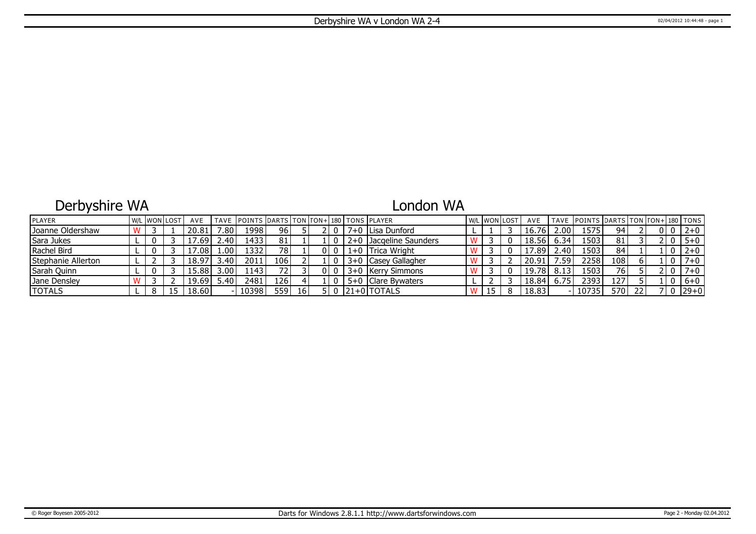## Derbyshire WA

### London WA

| PLAYER             |  | W/L WON LOST | AVE               |       | TAVE POINTS DARTS TON TON+180 TONS PLAYER |       |    |  |                        |    | W/L WON LOST | AVE   |      | TAVE POINTS DARTS TON TON+ 180 TONS |      |    |  |          |
|--------------------|--|--------------|-------------------|-------|-------------------------------------------|-------|----|--|------------------------|----|--------------|-------|------|-------------------------------------|------|----|--|----------|
| Joanne Oldershaw   |  |              | 20.81             | 7.80. | 1998                                      | 96    |    |  | 7+0   Lisa Dunford     |    |              | 16.76 | 2.00 | 1575                                | 94   |    |  | $2 + 0$  |
| Sara Jukes         |  |              | .69               | 2.401 | 1433                                      | 81    |    |  | 2+0 Jacqeline Saunders |    |              | 18.56 | 6.34 | 1503                                | 81   |    |  | $5 + 0$  |
| Rachel Bird        |  |              | 7.08 <sup>1</sup> | 1.00  | 1332                                      | 78 I  |    |  | 1+0 Trica Wright       |    |              | 17.89 | 2.40 | 1503                                | 84   |    |  | $2 + 0$  |
| Stephanie Allerton |  |              | 18.97             | 3.40  | 2011                                      | 106 l |    |  | 3+0   Casey Gallagher  |    |              | 20.91 | .59  | 2258                                | 108  |    |  | $7 + 0$  |
| Sarah Quinn        |  |              | 15.88             | 3.00  | 1143                                      | 72 I  |    |  | 3+0 Kerry Simmons      |    |              | 19.78 | 8.13 | 1503                                | 76   |    |  | $7 + 0$  |
| Jane Densley       |  |              | 19.69             | 5.40  | 2481                                      | 126 l |    |  | 5+0   Clare Bywaters   |    |              | 18.84 | 6.75 | 2393                                | 127' |    |  | $6+0$    |
| <b>TOTALS</b>      |  |              | 18.60             |       | 10398                                     | 559 l | 16 |  | $ 21+0 $ TOTALS        | IJ |              | 18.83 |      | 10735                               | 570  | 22 |  | $ 29+0 $ |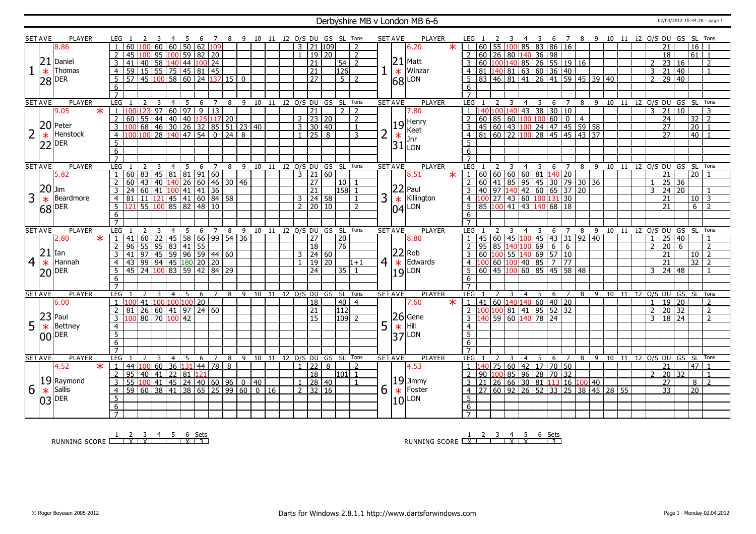#### Derbyshire MB v London MB 6-6 02/04/2012 10:44:28 - page 1

|                | <b>SET AVE</b> | <b>PLAYER</b>             |                 | LEG 1                                                                        |                                  |                                        |                 |                 |                      |                   | 8 9 10 11 12 O/S DU GS SL Tons |                |    |                            |                         |                     |       |                   |                |                | <b>SET AVE</b>          | PLAYER                                                           |                                             |         |       |                                                    |                  | - 6                                                  | $\overline{7}$  |                                     |                                                     |                |    | 8 9 10 11 12 O/S DU GS SL Tons |                  |                 |                 |                          |
|----------------|----------------|---------------------------|-----------------|------------------------------------------------------------------------------|----------------------------------|----------------------------------------|-----------------|-----------------|----------------------|-------------------|--------------------------------|----------------|----|----------------------------|-------------------------|---------------------|-------|-------------------|----------------|----------------|-------------------------|------------------------------------------------------------------|---------------------------------------------|---------|-------|----------------------------------------------------|------------------|------------------------------------------------------|-----------------|-------------------------------------|-----------------------------------------------------|----------------|----|--------------------------------|------------------|-----------------|-----------------|--------------------------|
|                |                | 8.86                      |                 | 60                                                                           | 60                               | 60                                     | $\overline{50}$ | $\sqrt{62}$     | 109                  |                   |                                |                |    |                            | $\overline{\mathbf{3}}$ | $21 \overline{109}$ |       |                   | $\overline{2}$ |                |                         | $\star$<br>6.20                                                  |                                             | 60      |       | 55 100 85 83                                       |                  |                                                      | 86 16           |                                     |                                                     |                |    |                                | 21               |                 | $\overline{16}$ |                          |
|                |                |                           | 2               | 45                                                                           |                                  | 95 100 59 82 20                        |                 |                 |                      |                   |                                |                |    |                            |                         | $1 \mid 19 \mid 20$ |       |                   | $\overline{2}$ |                |                         |                                                                  | 2                                           |         |       |                                                    |                  | 60   26   80   140   36   98                         |                 |                                     |                                                     |                |    |                                | $\overline{18}$  |                 | 61              | $\overline{1}$           |
|                | 21             | Daniel                    | $\overline{3}$  | 41                                                                           |                                  | 40 58 140 44 100 24                    |                 |                 |                      |                   |                                |                |    |                            |                         | 21                  |       | 54                | $\overline{2}$ |                |                         | $21$ Matt                                                        |                                             |         |       |                                                    |                  |                                                      |                 | $\frac{60}{100}$ 140 85 26 55 19 16 |                                                     |                |    | 2                              |                  | 23 16           |                 | $\overline{\phantom{a}}$ |
|                |                | Thomas                    |                 |                                                                              |                                  |                                        |                 |                 |                      |                   |                                |                |    |                            |                         |                     |       |                   |                |                |                         | Winzar                                                           |                                             |         |       |                                                    |                  |                                                      |                 |                                     |                                                     |                |    |                                |                  |                 |                 | $\overline{1}$           |
|                | $\ast$         |                           | $\overline{4}$  | 59                                                                           |                                  | $15$ 55 75 45 81 45                    |                 |                 |                      |                   |                                |                |    |                            |                         | $\overline{21}$     |       | 126               |                |                |                         | $\overline{\begin{array}{c} \ast \\ \ast \\ 68 \end{array}}$ LON |                                             |         |       |                                                    |                  | 81 140 81 63 60 36 40                                |                 |                                     |                                                     |                |    |                                | $3 \mid 21$      | $ 40\rangle$    |                 |                          |
|                |                | $ 28 ^{DER}$              | 5               | $57$ 45 100 58 60 24 137 15 0                                                |                                  |                                        |                 |                 |                      |                   |                                |                |    |                            |                         | $\overline{27}$     |       | $5\vert 2$        |                |                |                         |                                                                  | 5                                           |         |       |                                                    |                  |                                                      |                 | 83 46 81 41 26 41 59 45 39 40       |                                                     |                |    |                                | $2 \ 29 \ 40$    |                 |                 |                          |
|                |                |                           | -6              |                                                                              |                                  |                                        |                 |                 |                      |                   |                                |                |    |                            |                         |                     |       |                   |                |                |                         |                                                                  | 6                                           |         |       |                                                    |                  |                                                      |                 |                                     |                                                     |                |    |                                |                  |                 |                 |                          |
|                |                |                           |                 |                                                                              |                                  |                                        |                 |                 |                      |                   |                                |                |    |                            |                         |                     |       |                   |                |                |                         |                                                                  |                                             |         |       |                                                    |                  |                                                      |                 |                                     |                                                     |                |    |                                |                  |                 |                 |                          |
|                | <b>SET AVE</b> | <b>PLAYER</b>             | LEG             |                                                                              | 3                                | $\overline{4}$                         | 5               | 6               | $\overline{7}$       | 8                 | 9                              | 10             | 11 | 12 O/S DU GS SL Tons       |                         |                     |       |                   |                |                | <b>SET AVE</b>          | <b>PLAYER</b>                                                    | LEG                                         |         |       | $\overline{4}$                                     | - 5              | 6                                                    | $\overline{7}$  |                                     |                                                     |                |    | 8 9 10 11 12 O/S DU GS SL Tons |                  |                 |                 |                          |
|                |                | 9.05<br>$\overline{\ast}$ | $\mathbf{1}$    |                                                                              |                                  | $\sqrt{123/97/60/97}$                  |                 |                 | $9 \mid 13$          |                   |                                |                |    |                            |                         | $\overline{21}$     |       | $\overline{2}$    | $\overline{2}$ |                |                         | 7.80                                                             |                                             |         |       |                                                    |                  | <u>  40   43   38   30   10  </u>                    |                 |                                     |                                                     |                |    |                                | $\frac{1}{3}$ 21 | 10 <sup>1</sup> |                 | $\overline{3}$           |
|                |                |                           | $\overline{2}$  | 60                                                                           |                                  |                                        |                 |                 |                      |                   |                                |                |    |                            |                         | $2 \mid 23 \mid 20$ |       |                   | $\overline{2}$ |                |                         |                                                                  | 2                                           |         |       | 60 85 60 100 100                                   |                  | 60                                                   |                 | $0 \mid 4$                          |                                                     |                |    |                                | $\overline{24}$  |                 | 32              | $\overline{2}$           |
|                |                | 20 Peter                  | 3               |                                                                              |                                  | $\frac{1}{155}$ 44 40 40 125 117 20    |                 |                 |                      |                   |                                |                |    |                            |                         | $3 \mid 30 \mid 40$ |       |                   | $\overline{1}$ |                |                         |                                                                  | 3                                           |         |       |                                                    |                  |                                                      |                 | 45 60 43 100 24 47 45 59 58         |                                                     |                |    |                                | $\overline{27}$  |                 | $\overline{20}$ |                          |
|                |                | Henstock                  | $\overline{4}$  |                                                                              | $\overline{28}$<br>1100          | 140                                    | $\overline{47}$ | 54              | $\overline{0}$       | $\overline{24}$   | 8                              |                |    |                            | $\mathbf{1}$            | $\overline{25}$     | 8     |                   | 3              | $\overline{2}$ |                         | $\frac{19}{\text{Keet}}\Big _{\text{Inr}}^{\text{Henry}}$        | $\overline{4}$                              |         |       | 81 60 22 100                                       | $\overline{28}$  | $\overline{45}$                                      |                 | $\sqrt{45}$ $\sqrt{43}$ $\sqrt{37}$ |                                                     |                |    |                                | $\overline{27}$  |                 | 40              |                          |
|                | 22             | DER                       | $5\overline{5}$ |                                                                              |                                  |                                        |                 |                 |                      |                   |                                |                |    |                            |                         |                     |       |                   |                |                |                         | $31$ <sub>LON</sub>                                              | .5                                          |         |       |                                                    |                  |                                                      |                 |                                     |                                                     |                |    |                                |                  |                 |                 |                          |
|                |                |                           | 6               |                                                                              |                                  |                                        |                 |                 |                      |                   |                                |                |    |                            |                         |                     |       |                   |                |                |                         |                                                                  | 6                                           |         |       |                                                    |                  |                                                      |                 |                                     |                                                     |                |    |                                |                  |                 |                 |                          |
|                |                |                           | $\overline{7}$  |                                                                              |                                  |                                        |                 |                 |                      |                   |                                |                |    |                            |                         |                     |       |                   |                |                |                         |                                                                  | $\overline{7}$                              |         |       |                                                    |                  |                                                      |                 |                                     |                                                     |                |    |                                |                  |                 |                 |                          |
|                | <b>SET AVE</b> | <b>PLAYER</b>             |                 | LEG <sub>1</sub>                                                             | -3                               | $\overline{4}$                         | 5               | 6               | 7                    | 8                 | - 9                            |                |    | 10 11 12 O/S DU GS SL Tons |                         |                     |       |                   |                |                | <b>SET AVE</b>          | <b>PLAYER</b>                                                    | LEG                                         |         |       | $\overline{4}$                                     | - 5              | 6                                                    | $\overline{7}$  | 8                                   | $\overline{9}$                                      | 10 11          |    | 12 O/S DU GS SL Tons           |                  |                 |                 |                          |
|                |                | 5.82                      |                 | 60   83   45   81   81   91                                                  |                                  |                                        |                 |                 | 60                   |                   |                                |                |    |                            |                         | $3 \mid 21 \mid 60$ |       |                   |                |                |                         | 8.51<br>$\ast$                                                   | l 1.                                        | $60$ 60 | 60    | 60                                                 | 81               | 140                                                  | 20              |                                     |                                                     |                |    |                                | 21               |                 | 20 <sup>1</sup> |                          |
|                |                |                           |                 | 60                                                                           |                                  | 43   40   140   26   60   46   30   46 |                 |                 |                      |                   |                                |                |    |                            |                         | 27                  |       | 10 <sup>1</sup>   |                |                |                         |                                                                  | $\overline{2}$                              |         |       |                                                    |                  |                                                      |                 | 60 41 85 95 45 30 79 30 36          |                                                     |                |    |                                | 25               | 36              |                 |                          |
|                | $20$ Jim       |                           |                 | 24                                                                           |                                  | $\boxed{60}$ 41 100 41                 |                 |                 | $141 \overline{)36}$ |                   |                                |                |    |                            |                         | $\overline{21}$     |       | 158               |                |                |                         | $ 22 $ Paul                                                      |                                             |         |       |                                                    |                  | 40 97 140 42 60 65 37 20                             |                 |                                     |                                                     |                |    | 3                              | 24               | $\overline{20}$ |                 |                          |
| 3              |                | Beardmore                 | $\overline{4}$  |                                                                              |                                  |                                        |                 |                 |                      |                   |                                |                |    |                            |                         | $3 \mid 24 \mid 58$ |       |                   |                | 3              | $\overline{\mathbf{r}}$ | Killington                                                       | $4 \vert 1$                                 |         |       |                                                    |                  | $\boxed{00}$ 27   43   60   100   131   30           |                 |                                     |                                                     |                |    |                                | 21               |                 | 10 <sub>1</sub> | $\overline{3}$           |
|                | $\ast$         |                           | 5 <sup>5</sup>  | <u>81 11 121 45 41 60 84 58<br/>121 55 100 85 82 48 10</u>                   |                                  |                                        |                 |                 |                      |                   |                                |                |    |                            |                         | $2$   20   10       |       |                   | $\overline{z}$ |                |                         | LON                                                              | .5                                          |         |       |                                                    |                  | 85 100 41 43 140 68 18                               |                 |                                     |                                                     |                |    |                                | 21               |                 | 6 <sup>1</sup>  | $\overline{2}$           |
|                |                | $ 68 $ <sup>DER</sup>     | 6               |                                                                              |                                  |                                        |                 |                 |                      |                   |                                |                |    |                            |                         |                     |       |                   |                |                | 04l                     |                                                                  | 6                                           |         |       |                                                    |                  |                                                      |                 |                                     |                                                     |                |    |                                |                  |                 |                 |                          |
|                |                |                           | $\overline{7}$  |                                                                              |                                  |                                        |                 |                 |                      |                   |                                |                |    |                            |                         |                     |       |                   |                |                |                         |                                                                  | $\overline{7}$                              |         |       |                                                    |                  |                                                      |                 |                                     |                                                     |                |    |                                |                  |                 |                 |                          |
|                | <b>SET AVE</b> | <b>PLAYER</b>             | LEG             |                                                                              |                                  | 4                                      | 5               | 6               |                      | 8                 | 9                              | 10             | 11 | 12 0/S DU                  |                         |                     | GS SL |                   | Tons           |                | <b>SET AVE</b>          | <b>PLAYER</b>                                                    | LEG                                         |         |       | 4                                                  | 5                | 6                                                    |                 | 8                                   | 9                                                   | 10 11          | 12 |                                |                  | O/S DU GS SL    |                 | Tons                     |
|                |                |                           |                 |                                                                              |                                  |                                        |                 |                 |                      |                   |                                |                |    |                            |                         |                     |       |                   |                |                |                         |                                                                  |                                             |         |       |                                                    |                  |                                                      |                 |                                     |                                                     |                |    |                                |                  |                 |                 |                          |
|                |                |                           |                 |                                                                              |                                  |                                        |                 |                 |                      |                   |                                |                |    |                            |                         |                     |       |                   |                |                |                         |                                                                  |                                             |         |       |                                                    |                  |                                                      |                 |                                     |                                                     |                |    |                                |                  |                 |                 |                          |
|                |                | 2.80<br>$\star$           | $\overline{1}$  | 41                                                                           | $\overline{22}$<br>60            |                                        | $145$ 58        | $\overline{66}$ | $\overline{99}$      | $\overline{54}$   | $\overline{36}$                |                |    |                            |                         | 27                  |       | 20                |                |                |                         | 8.80                                                             | $\sqrt{1}$                                  | 45 60   |       | 45 100                                             | $\overline{145}$ |                                                      |                 |                                     | $\boxed{43}$ $\boxed{31}$ $\boxed{92}$ $\boxed{40}$ |                |    |                                | $1 \ 25 \ 40$    |                 |                 |                          |
|                |                |                           | $\overline{2}$  | 96                                                                           |                                  | $55 \mid 95 \mid 83$                   | 41              | 55              |                      |                   |                                |                |    |                            |                         | $\overline{18}$     |       | $\overline{76}$   |                |                |                         |                                                                  | $\overline{z}$                              | 95      |       | 85 140 100                                         | 69               | $6\overline{6}$                                      | 6               |                                     |                                                     |                |    | $\overline{2}$                 | 20               | 6 <sup>7</sup>  |                 | $\mathcal{D}$            |
|                | 21             | . Ian                     | 3               |                                                                              |                                  |                                        |                 |                 |                      |                   |                                |                |    |                            |                         | $3 \mid 24 \mid 60$ |       |                   |                |                |                         | $ 22 $ Rob                                                       | 3                                           |         |       |                                                    |                  | $\boxed{60}$ $\boxed{100}$ 55 $\boxed{140}$ 69 57 10 |                 |                                     |                                                     |                |    |                                | 21               |                 | 10 <sup>1</sup> | $\overline{z}$           |
| $\overline{4}$ | $\ast$         | Hannah                    | $\overline{4}$  |                                                                              |                                  |                                        |                 |                 |                      |                   |                                |                |    |                            |                         | $1 \mid 19 \mid 20$ |       |                   | $1+1$          |                | $4 \times$              | Edwards                                                          |                                             |         |       | $4 \vert 100 \vert 60 \vert 100 \vert 40 \vert 85$ |                  | $\overline{7}$                                       | $\overline{77}$ |                                     |                                                     |                |    |                                | $\overline{21}$  |                 | $32$   2        |                          |
|                |                | $ 20 $ <sup>DER</sup>     |                 | 41 97 45 59 96 59 44 60<br>43 99 94 45 180 20 20<br>45 24 100 83 59 42 84 29 |                                  |                                        |                 |                 |                      |                   |                                |                |    |                            |                         | $\overline{24}$     |       | $\overline{35 1}$ |                |                |                         | $19$ LON                                                         |                                             |         |       |                                                    |                  |                                                      |                 |                                     |                                                     |                |    | 3                              |                  | 24 48           |                 | $\overline{1}$           |
|                |                |                           | 6               |                                                                              |                                  |                                        |                 |                 |                      |                   |                                |                |    |                            |                         |                     |       |                   |                |                |                         |                                                                  | 6                                           |         |       |                                                    |                  |                                                      |                 |                                     |                                                     |                |    |                                |                  |                 |                 |                          |
|                |                |                           |                 |                                                                              |                                  |                                        |                 |                 |                      |                   |                                |                |    |                            |                         |                     |       |                   |                |                |                         |                                                                  |                                             |         |       |                                                    |                  |                                                      |                 |                                     |                                                     |                |    |                                |                  |                 |                 |                          |
|                | <b>SET AVE</b> | <b>PLAYER</b>             | LEG             |                                                                              | $\mathbf{R}$                     | $\overline{4}$                         | 5               | 6               | $\overline{7}$       | 8                 | 9                              |                |    | 10 11 12 0/S DU GS SL Tons |                         |                     |       |                   |                |                | <b>SET AVE</b>          | PLAYER                                                           | <b>LEG</b>                                  |         |       | $\overline{4}$                                     | 5                | 6                                                    | $\overline{7}$  | 8                                   |                                                     |                |    | 9 10 11 12 0/S DU GS SL Tons   |                  |                 |                 |                          |
|                |                | 6.00                      |                 |                                                                              | 41                               | 100 100 100 20                         |                 |                 |                      |                   |                                |                |    |                            |                         | $\overline{18}$     |       | $40 \mid 4$       |                |                |                         | 7.60                                                             | $1   41   60   140   140   60   40   20$    |         |       |                                                    |                  |                                                      |                 |                                     |                                                     |                |    | $\mathbf{1}$                   |                  | 19 20           |                 | $\overline{2}$           |
|                |                |                           |                 |                                                                              |                                  | 26 60 41                               | $\sqrt{97}$     |                 | 24 60                |                   |                                |                |    |                            |                         | $\overline{21}$     |       | 112               |                |                |                         |                                                                  |                                             |         |       |                                                    |                  | $\frac{00 100 81 41 95 52 32}{81}$                   |                 |                                     |                                                     |                |    | $\overline{2}$                 | 20               | 32              |                 | $\overline{2}$           |
|                |                | $ 23 $ Paul               | $\overline{3}$  |                                                                              |                                  | .00 80 70 100 42                       |                 |                 |                      |                   |                                |                |    |                            |                         | $\overline{15}$     |       | 109 2             |                |                |                         |                                                                  |                                             |         |       |                                                    |                  | 40 59 60 140 78 24                                   |                 |                                     |                                                     |                |    |                                | 3   18   24      |                 |                 | $\overline{2}$           |
| 5              | $\ast$         | Bettney                   | 4               |                                                                              |                                  |                                        |                 |                 |                      |                   |                                |                |    |                            |                         |                     |       |                   |                | 5              |                         |                                                                  | 4                                           |         |       |                                                    |                  |                                                      |                 |                                     |                                                     |                |    |                                |                  |                 |                 |                          |
|                |                |                           | 5               |                                                                              |                                  |                                        |                 |                 |                      |                   |                                |                |    |                            |                         |                     |       |                   |                |                |                         | $26$ Gene                                                        | $\overline{5}$                              |         |       |                                                    |                  |                                                      |                 |                                     |                                                     |                |    |                                |                  |                 |                 |                          |
|                |                | <b>IOO</b> IDER           | 6               |                                                                              |                                  |                                        |                 |                 |                      |                   |                                |                |    |                            |                         |                     |       |                   |                |                |                         | $37$ LON                                                         | 6                                           |         |       |                                                    |                  |                                                      |                 |                                     |                                                     |                |    |                                |                  |                 |                 |                          |
|                |                |                           | $\overline{7}$  |                                                                              |                                  |                                        |                 |                 |                      |                   |                                |                |    |                            |                         |                     |       |                   |                |                |                         |                                                                  | $\overline{7}$                              |         |       |                                                    |                  |                                                      |                 |                                     |                                                     |                |    |                                |                  |                 |                 |                          |
|                | <b>SET AVE</b> | <b>PLAYER</b>             |                 | LEG <sub>1</sub>                                                             | $\overline{z}$<br>$\overline{3}$ | $\overline{4}$                         | -5              | 6               | 7                    | 8                 |                                | 9 10           | 11 | 12 O/S DU GS SL Tons       |                         |                     |       |                   |                |                | <b>SET AVE</b>          | <b>PLAYER</b>                                                    | LEG                                         |         |       | $\overline{4}$                                     | - 5              | 6                                                    | 7               | 8                                   |                                                     |                |    | 9 10 11 12 0/S DU GS SL Tons   |                  |                 |                 |                          |
|                |                | 4.52<br>$\ast$            | $\vert 1 \vert$ | 44   100                                                                     | 60                               |                                        | 36 131          |                 | 44 78                | 8                 |                                |                |    |                            |                         | $\frac{1}{22}$      | 8     |                   | $\overline{z}$ |                |                         | 4.53                                                             | $1\quad1$                                   | 140     | 75 60 |                                                    | $42 \mid 17$     |                                                      | 70 50           |                                     |                                                     |                |    |                                | 21               |                 | 47              |                          |
|                |                |                           | 2               | 95 40 41                                                                     |                                  |                                        | 22 81           | 121             |                      |                   |                                |                |    |                            |                         | $\overline{18}$     |       | l101  1           |                |                |                         |                                                                  | 2                                           | 90 100  |       |                                                    |                  | 85 96 28 70 32                                       |                 |                                     |                                                     |                |    | $\mathcal{P}$                  | 20               | 32              |                 | $\overline{1}$           |
|                |                |                           | 3               | 55  100  41                                                                  |                                  |                                        |                 |                 |                      | $145$ 24 40 60 96 | 0   40                         |                |    |                            |                         | $1 \mid 28 \mid 40$ |       |                   | $\overline{1}$ |                |                         | $ 19 $ Jimmy                                                     | $3 \mid 21 \mid 26 \mid 66 \mid 30 \mid 81$ |         |       |                                                    |                  |                                                      |                 | 113 16 100 40                       |                                                     |                |    |                                | $\overline{27}$  |                 | 8 <sup>1</sup>  | $\overline{2}$           |
|                |                |                           | $\overline{4}$  | 59                                                                           |                                  | $60$ 38 41                             | $\overline{38}$ |                 |                      |                   | $65$ 25 99 60                  | $\boxed{0}$ 16 |    |                            |                         | $2 \mid 32 \mid 16$ |       |                   |                |                |                         | Foster                                                           | $\overline{4}$                              |         |       | 27 60 92 26 52                                     |                  | $\overline{33}$                                      |                 |                                     |                                                     | 25 38 45 28 55 |    |                                | $\overline{33}$  |                 | $\overline{20}$ |                          |
| 6              |                | $\frac{19}{\ast}$ Raymond | $5\overline{5}$ |                                                                              |                                  |                                        |                 |                 |                      |                   |                                |                |    |                            |                         |                     |       |                   |                | 6              | $\ast$                  |                                                                  | 5                                           |         |       |                                                    |                  |                                                      |                 |                                     |                                                     |                |    |                                |                  |                 |                 |                          |
|                |                | $ 03 $ <sup>DER</sup>     | 6               |                                                                              |                                  |                                        |                 |                 |                      |                   |                                |                |    |                            |                         |                     |       |                   |                |                |                         | $ 10 $ LON                                                       | 6                                           |         |       |                                                    |                  |                                                      |                 |                                     |                                                     |                |    |                                |                  |                 |                 |                          |

RUNNING SCORE <u>| X | X | X | 3</u><br>RUNNING SCORE <u>| X | X | X | 1 | X | 3</u>

RUNNING SCORE 1 X 2 3 4 X 5 X 6 Sets 3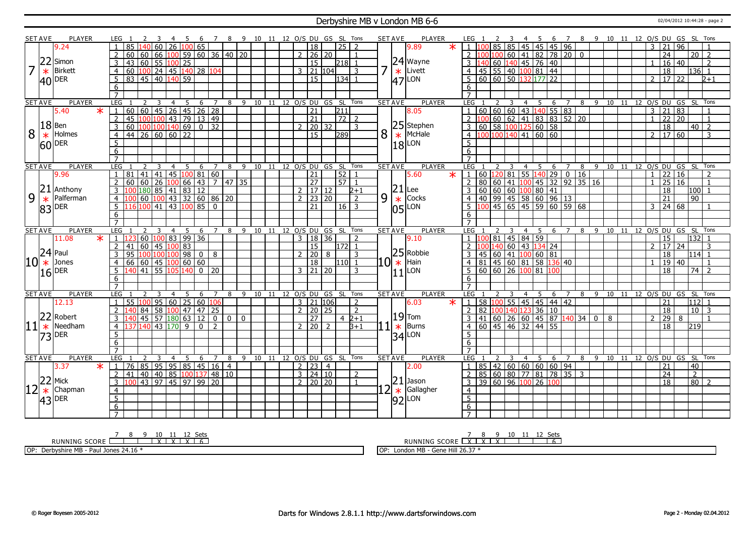#### Derbyshire MB v London MB 6-6 02/04/2012 10:44:28 - page 2

|         | <b>SET AVE</b> | <b>PLAYER</b>         | LEG                                                                   |                                       |   | 8 9 10 11 12 O/S DU GS SL Tons |  |                                   |                |              |                |   | <b>SET AVE</b>  | <b>PLAYER</b>   | LEG 1                             |    |                                                                             |            | - 6   | $\overline{7}$           |        |  |                 | 8 9 10 11 12 O/S DU GS SL Tons |                 |                     |
|---------|----------------|-----------------------|-----------------------------------------------------------------------|---------------------------------------|---|--------------------------------|--|-----------------------------------|----------------|--------------|----------------|---|-----------------|-----------------|-----------------------------------|----|-----------------------------------------------------------------------------|------------|-------|--------------------------|--------|--|-----------------|--------------------------------|-----------------|---------------------|
|         |                | 9.24                  | 60<br>85<br>140                                                       | 26  100  65                           |   |                                |  | 18                                |                | $25 \mid 2$  |                |   |                 | $\ast$<br>9.89  |                                   |    | 85 85 45 45                                                                 |            | 45 96 |                          |        |  | 3               | 21<br>96                       |                 |                     |
|         |                |                       | $\mathcal{P}$<br>60<br>66<br>160<br>100 l                             | 59   60   36   40   20                |   |                                |  | $2 \ 26 \ 20$                     |                |              | $\overline{1}$ |   |                 |                 |                                   |    | $100 100 $ 60   41   82   78   20   0                                       |            |       |                          |        |  |                 | $\overline{24}$                |                 | $\overline{20}$   2 |
|         |                | 22 Simon              | 3<br>60<br>55<br>43                                                   | $100$ 25                              |   |                                |  | <sup>15</sup>                     |                | 218 1        |                |   |                 | 24 Wayne        |                                   |    | 60 140 45 76 40                                                             |            |       |                          |        |  |                 | 16 40                          |                 | $\overline{2}$      |
|         |                | Birkett               | $\vert 100 \vert 24 \vert 45 \vert 140 \vert 28 \vert 104$<br>60<br>4 |                                       |   |                                |  | $3$   21   104                    |                |              | 3              |   |                 | Livett          | 45                                |    | 55 40 100 81 44                                                             |            |       |                          |        |  |                 | 18                             | l136l 1         |                     |
|         | $\ast$         |                       |                                                                       |                                       |   |                                |  |                                   |                |              |                |   | $\ast$          |                 |                                   |    |                                                                             |            |       |                          |        |  |                 |                                |                 |                     |
|         |                | $ 40 $ <sup>DER</sup> | 5<br>83 45 40 140 59                                                  |                                       |   |                                |  | $\overline{15}$                   |                | 134          |                |   | $ 47 $ LON      |                 | 5                                 |    | 60 60 50 1                                                                  | 132 177 22 |       |                          |        |  | $\overline{2}$  | $17 \overline{22}$             |                 | $2 + 1$             |
|         |                |                       | 6                                                                     |                                       |   |                                |  |                                   |                |              |                |   |                 |                 | 6                                 |    |                                                                             |            |       |                          |        |  |                 |                                |                 |                     |
|         |                |                       | $\overline{7}$                                                        |                                       |   |                                |  |                                   |                |              |                |   |                 |                 | $\overline{7}$                    |    |                                                                             |            |       |                          |        |  |                 |                                |                 |                     |
|         | <b>SET AVE</b> | <b>PLAYER</b>         | LEG<br>$\overline{4}$<br>3                                            | 5<br>6<br>$\overline{7}$              |   | 8 9 10 11 12 0/S DU GS SL      |  |                                   |                |              | Tons           |   | <b>SET AVE</b>  | <b>PLAYER</b>   | LEG                               |    | $\overline{4}$                                                              | - 5        | 6     | 7                        |        |  |                 | 8 9 10 11 12 0/S DU GS SL Tons |                 |                     |
|         |                | $\ast$<br>5.40        | 60                                                                    |                                       |   |                                |  | 21                                |                | 211          |                |   |                 | 8.05            |                                   |    | 60   60   60   43   140   55   83                                           |            |       |                          |        |  | $\overline{3}$  | $\overline{21}$<br>$\sqrt{83}$ |                 |                     |
|         |                |                       | $100 100 $ 43   79   13   49<br>$\overline{2}$<br>45                  |                                       |   |                                |  | $\overline{21}$                   |                | $\boxed{72}$ |                |   |                 |                 |                                   |    |                                                                             |            |       |                          |        |  | $\mathbf{1}$    | $\overline{22}$<br>120         |                 | $\overline{1}$      |
|         | $18$ Ben       |                       | $\frac{100 100 140 69}{0}$ 32<br>3<br>60                              |                                       |   |                                |  | $\mathcal{L}$                     | 20 32          |              | 3              |   |                 | 25 Stephen      | $\overline{3}$                    |    |                                                                             |            |       |                          |        |  |                 | 18                             |                 | $40\overline{2}$    |
| 8       | $\ast$         | Holmes                | $44$ 26 60 60 22<br>$\overline{4}$                                    |                                       |   |                                |  | $\overline{15}$                   |                | 289          |                | 8 | $\ast$          | McHale          | $\overline{4}$                    |    |                                                                             |            |       |                          |        |  | $\mathcal{P}$   | 17 60                          |                 | 3                   |
|         |                | $ 60 $ <sup>DER</sup> | $\overline{5}$                                                        |                                       |   |                                |  |                                   |                |              |                |   | 18 <sup>1</sup> | LON             | $5^{\circ}$                       |    |                                                                             |            |       |                          |        |  |                 |                                |                 |                     |
|         |                |                       | 6                                                                     |                                       |   |                                |  |                                   |                |              |                |   |                 |                 | 6                                 |    |                                                                             |            |       |                          |        |  |                 |                                |                 |                     |
|         |                |                       | $\overline{7}$                                                        |                                       |   |                                |  |                                   |                |              |                |   |                 |                 | $\overline{7}$                    |    |                                                                             |            |       |                          |        |  |                 |                                |                 |                     |
|         | <b>SET AVE</b> | <b>PLAYER</b>         | LEG<br>$\overline{4}$                                                 | 5<br>6<br>7                           | 8 | 9 10 11 12 O/S DU GS SL Tons   |  |                                   |                |              |                |   | <b>SET AVE</b>  | <b>PLAYER</b>   | LEG <sub>1</sub>                  |    | $\overline{4}$                                                              | - 5        | 6     | $\overline{7}$           |        |  |                 | 8 9 10 11 12 O/S DU GS SL Tons |                 |                     |
|         |                | 9.96                  | 8141<br> 41 <br>$\overline{1}$                                        | 45  100   81   60                     |   |                                |  | 21                                |                | $52$   1     |                |   |                 | 5.60<br>$\ast$  | $\cdot$ 1.                        |    |                                                                             |            |       |                          |        |  | $\mathbf{1}$    | $\overline{22}$<br>$\sqrt{16}$ |                 | $\overline{2}$      |
|         |                |                       | $\overline{2}$<br>60<br>60<br>$\overline{26}$<br>100                  | $66$   43   7   47   35               |   |                                |  | 27                                |                | 571          |                |   |                 |                 | 80<br>$\overline{2}$              |    | 60 41 100                                                                   |            |       | $\boxed{45}$ 32 92 35 16 |        |  |                 | $\overline{25}$<br>  16        |                 | $\overline{1}$      |
|         |                | $ 21 $ Anthony        | $\frac{180}{85}$ 41 83 12<br>3                                        |                                       |   |                                |  | $2 \overline{117} \overline{112}$ |                |              | $2+1$          |   |                 | Lee             |                                   |    | 60   60   60   100   80   41                                                |            |       |                          |        |  |                 | 18                             | $ 100 $ 1       |                     |
| 9       | $\ast$         | Palferman             | 60<br>$\overline{4}$                                                  | $100$ 43 32 60 86 20                  |   |                                |  | $2 \mid 23 \mid 20$               |                |              | $\overline{2}$ | 9 | $\frac{21}{4}$  | Cocks           | 4                                 |    | 40 99 45 58 60 96 13                                                        |            |       |                          |        |  | $\overline{21}$ |                                | 90              |                     |
|         |                | 83 DER                | 5<br>116 100 41                                                       | 43   100   85   0                     |   |                                |  | 21                                |                | $16 \mid 3$  |                |   | $\overline{05}$ | LON             |                                   |    | $45 \ 65 \ 45 \ 59 \ 60 \ 59 \ 68$                                          |            |       |                          |        |  | $\mathcal{E}$   | 24 68                          |                 |                     |
|         |                |                       | 6                                                                     |                                       |   |                                |  |                                   |                |              |                |   |                 |                 | 6                                 |    |                                                                             |            |       |                          |        |  |                 |                                |                 |                     |
|         |                |                       | $\overline{7}$                                                        |                                       |   |                                |  |                                   |                |              |                |   |                 |                 | 7                                 |    |                                                                             |            |       |                          |        |  |                 |                                |                 |                     |
|         | <b>SET AVE</b> | <b>PLAYER</b>         | LEG<br>$\overline{4}$                                                 | 5<br>6<br>$\overline{7}$              |   | 8 9 10 11 12 0/S DU GS SL Tons |  |                                   |                |              |                |   | <b>SET AVE</b>  | <b>PLAYER</b>   | LEG                               |    | $\overline{4}$                                                              | - 5        | 6     | $\overline{7}$           | 8<br>9 |  |                 | 10 11 12 0/S DU GS SL          |                 | Tons                |
|         |                | $\ast$<br>11.08       | 60<br>$\overline{1}$                                                  | 100 83 99 36                          |   |                                |  | 3                                 | 18 36          |              | $\overline{z}$ |   |                 | 9.10            |                                   | 81 | 45 84 59                                                                    |            |       |                          |        |  |                 | 15                             | 132 1           |                     |
|         |                |                       | $\overline{2}$<br>60<br>  45  <br>41                                  | 100 83                                |   |                                |  | 15                                |                | l1721 1      |                |   |                 |                 |                                   |    | 60 43 134 24                                                                |            |       |                          |        |  | $\mathcal{P}$   | 17<br>24                       |                 | 3                   |
|         |                | $ 24 $ Paul           | 100<br>3<br>95<br>100                                                 | 10098088                              |   |                                |  | $\overline{20}$<br>$\overline{2}$ | 8              |              | $\overline{3}$ |   |                 | $ 25 $ Robbie   | 45                                | 60 | 41 100 60 81                                                                |            |       |                          |        |  |                 | 18                             | l114l 1         |                     |
|         | $ 10  *$       | Jones                 | 60<br>$\overline{4}$<br>66                                            | $45 \mid 100 \mid 60 \mid 60$         |   |                                |  | 18                                |                | 110 1        |                |   | $10 \ast $      | Hain            | 81<br>$\overline{4}$              |    | $ 45 $ 60 81 58 136 40                                                      |            |       |                          |        |  |                 | 19<br>$ 40\rangle$             |                 |                     |
|         |                | $16$ <sup>DER</sup>   | $ 41\rangle$<br>55<br>5<br>105 <sub>1</sub>                           | 140<br>$0 \mid 20$                    |   |                                |  | $3 \mid 21 \mid 20$               |                |              | 3              |   | $11\,$          | LON             | 5.                                |    | 60   60   26   100   81                                                     |            | 100   |                          |        |  |                 | 18                             | 74              | $\overline{2}$      |
|         |                |                       | 6                                                                     |                                       |   |                                |  |                                   |                |              |                |   |                 |                 | 6                                 |    |                                                                             |            |       |                          |        |  |                 |                                |                 |                     |
|         |                |                       | $\overline{7}$                                                        |                                       |   |                                |  |                                   |                |              |                |   |                 |                 | $\overline{7}$                    |    |                                                                             |            |       |                          |        |  |                 |                                |                 |                     |
|         | <b>SET AVE</b> | PLAYER                | LEG<br>4                                                              | 5<br>6<br>$\overline{7}$              | 8 | 9 10 11 12 0/S DU GS SL        |  |                                   |                |              | Tons           |   | <b>SET AVE</b>  | PLAYER          | <b>LEG</b>                        |    | 3<br>4                                                                      | -5         | 6     | $\overline{7}$           |        |  |                 | 8 9 10 11 12 0/S DU GS SL      |                 | Tons                |
|         |                | 12.13                 | 95<br>  60  <br>$\mathbf{1}$<br>55<br>100                             | 25 60 106                             |   |                                |  | 3 21 106                          |                |              | 2              |   |                 | $\star$<br>6.03 | $\overline{1}$                    |    | 58 100 55 45                                                                | 45         | 44 42 |                          |        |  | 21              |                                | 112 1           |                     |
|         |                |                       | $\mathcal{P}$<br>84<br>58                                             | 100 47 47 25                          |   |                                |  | 2   20   25                       |                |              | $\overline{2}$ |   |                 |                 | $\mathcal{P}$<br>82               |    | 40 123                                                                      | 36 10      |       |                          |        |  |                 | $\overline{18}$                | $\overline{10}$ | $\overline{3}$      |
|         |                | 22 Robert             | 45<br>3                                                               | 57 180 63 12 0 0                      |   | $\mathbf{0}$                   |  | $\overline{27}$                   |                | $4 \, 2+1$   |                |   | $19$ Tom        |                 | 3                                 |    | $41 \mid 60 \mid 26 \mid 60 \mid 45 \mid 87 \mid 140 \mid 34 \mid 0 \mid 8$ |            |       |                          |        |  | $\overline{2}$  | 29<br>8                        |                 | $\mathbf{1}$        |
| $ 11 *$ |                | Needham               | 140  43  170 <br>$\overline{4}$                                       | 9<br>$\overline{0}$<br>$\overline{2}$ |   |                                |  | 2   20                            | $\overline{2}$ |              | $B+1$          |   | $\ast$          | Burns           | $\overline{4}$                    |    | 60 45 46 32 44 55                                                           |            |       |                          |        |  |                 | 18                             | 219             |                     |
|         |                | $ 73 $ <sup>DER</sup> | 5                                                                     |                                       |   |                                |  |                                   |                |              |                |   | $34$ LON        |                 | 5                                 |    |                                                                             |            |       |                          |        |  |                 |                                |                 |                     |
|         |                |                       | 6                                                                     |                                       |   |                                |  |                                   |                |              |                |   |                 |                 | 6                                 |    |                                                                             |            |       |                          |        |  |                 |                                |                 |                     |
|         |                |                       | $\overline{7}$                                                        |                                       |   |                                |  |                                   |                |              |                |   |                 |                 |                                   |    |                                                                             |            |       |                          |        |  |                 |                                |                 |                     |
|         | <b>SET AVE</b> | <b>PLAYER</b>         | LEG<br>3<br>$\overline{4}$                                            | 5<br>6<br>$\overline{7}$              | 8 | 9 10 11 12 O/S DU GS SL Tons   |  |                                   |                |              |                |   | <b>SET AVE</b>  | <b>PLAYER</b>   | LEG <sub>1</sub>                  |    |                                                                             | 4 5        | 6 7   |                          |        |  |                 | 8 9 10 11 12 O/S DU GS SL      |                 | Tons                |
|         |                | $\star$<br>3.37       | 85<br>95<br>76                                                        | 95 85 45 16 4                         |   |                                |  | 2 23                              | $\overline{4}$ |              |                |   |                 | 2.00            |                                   |    | 85 42 60 60 60 60 94                                                        |            |       |                          |        |  | 21              |                                | 40              |                     |
|         |                |                       | 40<br>$\overline{2}$<br>41                                            | 40   85   100   137   48   10         |   |                                |  | 3   24   10                       |                |              | 2              |   |                 |                 |                                   |    | 85 60 80 77 81 78 35 3                                                      |            |       |                          |        |  | $\overline{24}$ |                                | $\overline{2}$  |                     |
|         |                |                       |                                                                       |                                       |   |                                |  | 2   20   20                       |                |              | $\mathbf{1}$   |   | 21              | Jason           | 3                                 |    | 39 60 96 100 26 100                                                         |            |       |                          |        |  |                 |                                |                 | $80$   2            |
|         |                |                       | 3                                                                     |                                       |   |                                |  |                                   |                |              |                |   |                 |                 |                                   |    |                                                                             |            |       |                          |        |  |                 | 18                             |                 |                     |
|         | $ 22 $ Mick    | Chapman               | 100 43 97 45 97 99 20                                                 |                                       |   |                                |  |                                   |                |              |                |   |                 |                 |                                   |    |                                                                             |            |       |                          |        |  |                 |                                |                 |                     |
|         | $12*$          |                       | $\overline{4}$                                                        |                                       |   |                                |  |                                   |                |              |                |   | $\star$         | Gallagher       | $\overline{4}$<br>$5^{\circ}$     |    |                                                                             |            |       |                          |        |  |                 |                                |                 |                     |
|         |                | $ 43 $ <sup>DER</sup> | 5                                                                     |                                       |   |                                |  |                                   |                |              |                |   | $ 92 $ LON      |                 |                                   |    |                                                                             |            |       |                          |        |  |                 |                                |                 |                     |
|         |                |                       | 6<br>$\overline{7}$                                                   |                                       |   |                                |  |                                   |                |              |                |   |                 |                 | $6\overline{6}$<br>$\overline{7}$ |    |                                                                             |            |       |                          |        |  |                 |                                |                 |                     |

RUNNING SCORE 7 8 9 10 X 11 X 12 X Sets 6

OP: Derbyshire MB - Paul Jones 24.16 \*

RUNNING SCORE 7 X 8 X 9 X 10 11 12 Sets 6

OP: London MB - Gene Hill 26.37 \*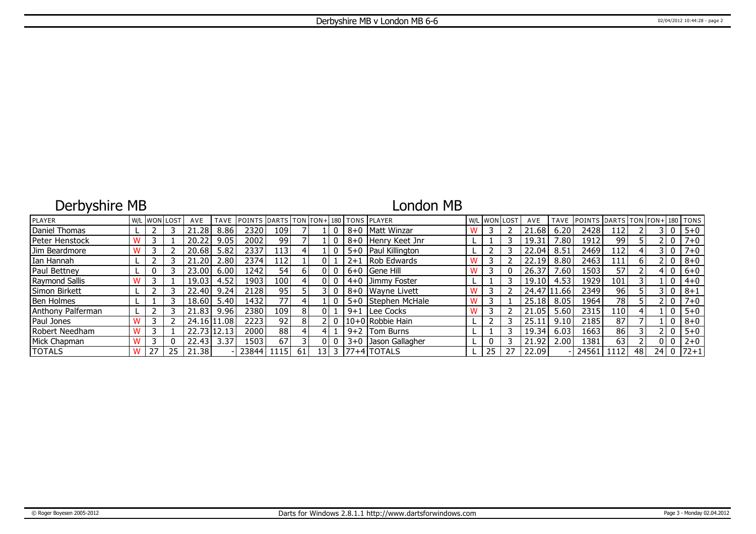# Derbyshire MB

## London MB

| PLAYER            | W/L |    | . IwonIlost | AVE         | <b>TAVE</b> | <b>POINTS DARTS TON FON+180 TONS PLAYER</b> |                  |    |      |   |                       |    | W/L WON LOST | AVE         | <b>TAVE</b>    | <b>IPOINTS</b> | DARTS TON TON+ 180 TONS |    |      |         |
|-------------------|-----|----|-------------|-------------|-------------|---------------------------------------------|------------------|----|------|---|-----------------------|----|--------------|-------------|----------------|----------------|-------------------------|----|------|---------|
| Daniel Thomas     |     |    |             | .28         | 8.86        | 2320                                        | 109 l            |    |      |   | 8+0   Matt Winzar     |    |              | 21.68       | 6.20           | 2428           | L12                     |    |      | $5 + 0$ |
| Peter Henstock    |     |    |             | 20.22       | 9.05        | 2002                                        | 99               |    |      |   | 8+0 Henry Keet Jnr    |    |              | 19.31       | $^{\prime}.80$ | 1912           | 99                      |    |      | $7 + 0$ |
| Jim Beardmore     |     |    |             | 20.68       | 5.82        | 2337                                        | 113 <sub>l</sub> |    |      |   | 5+0   Paul Killington |    |              | 22.04       | 8.51           | 2469           | 112                     |    |      | $7 + 0$ |
| Ian Hannah        |     |    |             | .20         | 2.80        | 2374                                        | 112              |    |      |   | $2+1$ Rob Edwards     |    |              | 22.19       | 8.80           | 2463           | 111                     |    |      | $8 + 0$ |
| Paul Bettney      |     |    |             | 23.00       | 6.00        | 1242                                        | 54               | 61 |      |   | $6+0$ Gene Hill       |    |              | 26.37       | 0.60           | 1503           | 57                      |    |      | $6 + 0$ |
| Raymond Sallis    |     |    |             | 19.03       | 4.52        | 1903                                        | 100 <sub>l</sub> |    |      |   | $4+0$ Jimmy Foster    |    |              | 19.10       | 4.53           | 1929           | 101                     |    |      | $4 + 0$ |
| Simon Birkett     |     |    |             | 22.40       | 9.24        | 2128                                        | 95               |    |      |   | 8+0 Wayne Livett      |    |              | 24.47 11.66 |                | 2349           | 96                      |    |      | $8 + 1$ |
| <b>Ben Holmes</b> |     |    |             | 18.60       | 5.40        | 1432                                        | 77               |    |      |   | 5+0 Stephen McHale    |    |              | 25.18       | 8.05           | 1964           | 78                      |    |      | $7 + 0$ |
| Anthony Palferman |     |    |             | 21.83       | 9.96        | 2380                                        | 109 l            | 8  |      |   | 9+1 Lee Cocks         |    |              | 21.05       | 5.60           | 2315           | ا 10                    |    |      | $5 + 0$ |
| Paul Jones        |     |    |             | 24.16 11.08 |             | 2223                                        | 92               | 8  |      |   | 10+0 Robbie Hain      |    |              | 25.11       | 9.10           | 2185           | 87                      |    |      | $8 + 0$ |
| Robert Needham    |     |    |             |             | 22.73 12.13 | 20001                                       | 88               |    |      |   | 9+2   Tom Burns       |    |              | 19.34       | 6.03           | 1663           | 86                      |    |      | $5 + 0$ |
| Mick Chapman      |     |    |             | 22.43       | 3.37        | 1503                                        | 67               |    |      |   | 3+0 Jason Gallagher   |    |              | 21.92       | 2.00           | 1381           | 63                      |    |      | $2 + 0$ |
| <b>TOTALS</b>     |     | 27 | 25          | 21.38       |             | 23844                                       | 1115 l           | 61 | 13 I | 3 | l77+4lTOTALS          | 25 |              | 22.09       |                | 24561          | 1112                    | 48 | 24 l | $ 72+1$ |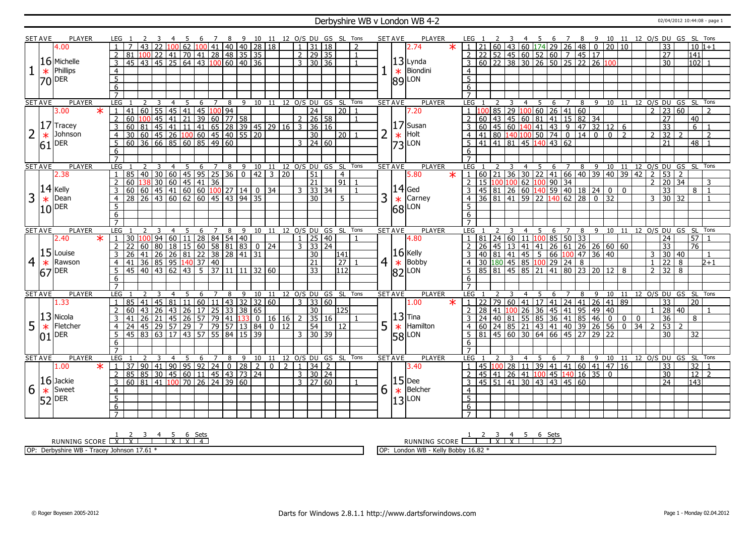#### Derbyshire WB v London WB 4-2 02/04/2012 10:44:08 - page 1

|                | SET AVE        | <b>PLAYER</b> |                   |                     |                                                           |                                |                |   |                                           | 7              | - 8                                | $^{9}$ |       |    |             |                                   | 10 11 12 O/S DU GS SL Tons   |                      |                |   | SET AVE               | PLAYER           | LEG              |                       |    |                |                 | - 5              | 6                                                                  | $\overline{7}$ | - 8                 |      |                                                                                        |                |              |                   |                                  | 10 11 12 0/S DU GS SL Tons                                                                  |                |
|----------------|----------------|---------------|-------------------|---------------------|-----------------------------------------------------------|--------------------------------|----------------|---|-------------------------------------------|----------------|------------------------------------|--------|-------|----|-------------|-----------------------------------|------------------------------|----------------------|----------------|---|-----------------------|------------------|------------------|-----------------------|----|----------------|-----------------|------------------|--------------------------------------------------------------------|----------------|---------------------|------|----------------------------------------------------------------------------------------|----------------|--------------|-------------------|----------------------------------|---------------------------------------------------------------------------------------------|----------------|
|                |                | 4.00          |                   |                     |                                                           |                                |                |   | 62  100  41  40  40  28  18               |                |                                    |        |       |    |             | $1 \mid 31 \mid 18$               |                              |                      | $\mathcal{P}$  |   |                       | 2.74             |                  |                       | 60 |                |                 |                  | $\frac{1}{43}$ 60 174 29 26 48 0                                   |                |                     |      | 20                                                                                     | 10             |              | 33                |                                  |                                                                                             | $10 1+1$       |
|                |                |               |                   | $\overline{2}$      | 81                                                        | $100$ 22                       |                |   | 41 70 41 28 48 35 35                      |                |                                    |        |       |    |             | $2 \mid 29 \mid 35$               |                              |                      | $\mathbf{1}$   |   |                       |                  | 2                | $\overline{22}$       |    |                |                 |                  | $52$ 45 60 52 60 7 45 17                                           |                |                     |      |                                                                                        |                |              | $\overline{27}$   |                                  | $\overline{141}$                                                                            |                |
|                |                | $16$ Michelle |                   |                     | 45                                                        | $\sqrt{43/45}$                 |                |   | 25 64 43 100 60 40 36                     |                |                                    |        |       |    |             | $3 \overline{)30} \overline{)36}$ |                              |                      |                |   |                       | $ 13 $ Lynda     |                  |                       |    |                |                 | $60$ 22 38 30 26 |                                                                    |                | $50$ 25 22 26       |      |                                                                                        |                |              | $\overline{30}$   |                                  | 102                                                                                         |                |
|                |                | Phillips      |                   | 3                   |                                                           |                                |                |   |                                           |                |                                    |        |       |    |             |                                   |                              |                      |                |   |                       |                  | $\overline{3}$   |                       |    |                |                 |                  |                                                                    |                |                     |      | 100                                                                                    |                |              |                   |                                  |                                                                                             |                |
|                | $\ast$         |               |                   | $\overline{4}$      |                                                           |                                |                |   |                                           |                |                                    |        |       |    |             |                                   |                              |                      |                |   |                       | $\star$ Biondini | $\overline{4}$   |                       |    |                |                 |                  |                                                                    |                |                     |      |                                                                                        |                |              |                   |                                  |                                                                                             |                |
|                |                | 70 DER        |                   | $\overline{5}$      |                                                           |                                |                |   |                                           |                |                                    |        |       |    |             |                                   |                              |                      |                |   | $ 89 $ LON            |                  | $\overline{5}$   |                       |    |                |                 |                  |                                                                    |                |                     |      |                                                                                        |                |              |                   |                                  |                                                                                             |                |
|                |                |               |                   | 6                   |                                                           |                                |                |   |                                           |                |                                    |        |       |    |             |                                   |                              |                      |                |   |                       |                  | 6                |                       |    |                |                 |                  |                                                                    |                |                     |      |                                                                                        |                |              |                   |                                  |                                                                                             |                |
|                |                |               |                   | $\overline{7}$      |                                                           |                                |                |   |                                           |                |                                    |        |       |    |             |                                   |                              |                      |                |   |                       |                  |                  |                       |    |                |                 |                  |                                                                    |                |                     |      |                                                                                        |                |              |                   |                                  |                                                                                             |                |
|                | <b>SET AVE</b> | <b>PLAYER</b> |                   | <b>LEG</b>          | 2                                                         | 3                              | $\overline{4}$ |   | 5                                         |                | 6 7 8 9 10 11 12 0/S DU GS SL Tons |        |       |    |             |                                   |                              |                      |                |   | <b>SET AVE</b>        | PLAYER           | LEG              |                       | 2  | $\overline{3}$ | $\overline{4}$  | $-5$             |                                                                    |                |                     |      |                                                                                        |                |              |                   |                                  | 6 7 8 9 10 11 12 0/S DU GS SL Tons                                                          |                |
|                |                | 3.00          | $\overline{\ast}$ |                     | 41 60 55 45 41 45 100 94                                  |                                |                |   |                                           |                |                                    |        |       |    |             | $\overline{24}$                   |                              | $\overline{20}$      |                |   |                       | 7.20             |                  |                       | 85 |                |                 |                  | $\vert$ 29 $\vert$ 100 $\vert$ 60 $\vert$ 26 $\vert$ 41 $\vert$ 60 |                |                     |      |                                                                                        |                |              |                   | $2 \mid 23 \mid 60$              |                                                                                             |                |
|                |                |               |                   | $\overline{2}$      | 60                                                        | $100$ 45                       |                |   | 41 21 39 60 77 58                         |                |                                    |        |       |    |             | $2 \ 26 \ 58$                     |                              |                      |                |   |                       |                  |                  | 60                    |    |                |                 |                  |                                                                    |                |                     |      | 43 45 60 81 41 15 82 34<br>45 60 140 41 43 9 47 32 12 6<br>80 140 100 50 74 0 14 0 0 2 |                |              | 27                |                                  | 40                                                                                          |                |
|                | 17             | Tracey        |                   | $\overline{3}$      | 60<br> 81                                                 |                                |                |   | 45 41 11 41 65 28 39 45 29 16 3 36 16     |                |                                    |        |       |    |             |                                   |                              |                      |                |   |                       | $ 17 $ Susan     | $\overline{3}$   | 60                    |    |                |                 |                  |                                                                    |                |                     |      |                                                                                        |                |              | $\overline{33}$   |                                  | $\overline{6}$                                                                              |                |
| $\overline{2}$ | $\ast$         | Johnson       |                   | $\overline{4}$      |                                                           |                                |                |   |                                           |                |                                    |        |       |    |             | $\overline{30}$                   |                              | 20   1               |                |   | $\ast$                | Holt             | $\overline{4}$   | 41                    |    |                |                 |                  |                                                                    |                |                     |      |                                                                                        |                |              | $\overline{2}$ 32 | $\mathcal{L}$                    |                                                                                             | $\overline{2}$ |
|                | 61             | <b>DER</b>    |                   | 5                   | 30 60 45 26 100 60 45 40 55 20<br>60 36 66 85 60 85 49 60 |                                |                |   |                                           |                |                                    |        |       |    |             | $3 \mid 24 \mid 60$               |                              |                      |                |   | $ 73 $ LON            |                  | -5               |                       |    |                |                 |                  | $\vert 41 \vert 41 \vert 81 \vert 45 \vert 140 \vert 43 \vert 62$  |                |                     |      |                                                                                        |                |              | 21                |                                  |                                                                                             | $48$   1       |
|                |                |               |                   | 6                   |                                                           |                                |                |   |                                           |                |                                    |        |       |    |             |                                   |                              |                      |                |   |                       |                  | 6                |                       |    |                |                 |                  |                                                                    |                |                     |      |                                                                                        |                |              |                   |                                  |                                                                                             |                |
|                |                |               |                   | $\overline{7}$      |                                                           |                                |                |   |                                           |                |                                    |        |       |    |             |                                   |                              |                      |                |   |                       |                  | $\overline{7}$   |                       |    |                |                 |                  |                                                                    |                |                     |      |                                                                                        |                |              |                   |                                  |                                                                                             |                |
|                | <b>SET AVE</b> | <b>PLAYER</b> |                   | LEG                 |                                                           |                                | $\overline{4}$ |   | 5 6 7 8 9 10 11 12 O/S DU GS SL Tons      |                |                                    |        |       |    |             |                                   |                              |                      |                |   | <b>SET AVE</b>        | <b>PLAYER</b>    | LEG 1            |                       |    |                |                 |                  |                                                                    |                |                     |      |                                                                                        |                |              |                   |                                  | 1 2 3 4 5 6 7 8 9 10 11 12 0/5 DU GS SL TONS<br> 60 21 36 30 22 41 66 40 39 40 39 42 2 53 2 |                |
|                |                | 2.38          |                   | $\mathbf{1}$        | 85 40 30                                                  |                                |                |   | 60   45   95   25   36   0   42   3   20  |                |                                    |        |       |    |             | $\overline{51}$                   |                              | $\overline{4}$       |                |   |                       | 5.80<br>$\ast$   | $\vert 1 \vert$  |                       |    |                |                 |                  |                                                                    |                |                     |      |                                                                                        |                |              |                   |                                  |                                                                                             |                |
|                |                |               |                   | $\overline{2}$      | 60                                                        |                                |                |   | 138 30 60 45 41 36                        |                |                                    |        |       |    |             | $\overline{21}$                   |                              | $\boxed{91}$ 1       |                |   |                       |                  | $\overline{2}$   | 15                    |    |                |                 |                  |                                                                    |                |                     |      |                                                                                        |                |              |                   | $2 \mid 20 \mid 34$              |                                                                                             | 3              |
|                |                | $ 14 $ Kelly  |                   | 3                   |                                                           |                                |                |   |                                           |                |                                    |        |       |    |             | $3 \ 33 \ 34$                     |                              |                      | $\overline{1}$ |   | $ 14 $ Ged            |                  |                  | $145 \mid 81 \mid 26$ |    |                |                 |                  |                                                                    |                |                     |      |                                                                                        | $\overline{0}$ |              | 33                |                                  | 8                                                                                           | $\overline{1}$ |
| 3              | $\ast$         | Dean          |                   | $\overline{4}$      | 28                                                        |                                |                |   | $\frac{126}{126}$ 43 60 62 60 45 43 94 35 |                |                                    |        |       |    |             | 30                                |                              | 5                    |                | 3 | $\ast$                | Carney           | $\overline{4}$   | $\overline{36}$       |    |                |                 |                  |                                                                    |                |                     |      |                                                                                        |                |              |                   | $3 \mid 30 \mid 32$              |                                                                                             |                |
|                |                |               |                   | 5                   |                                                           |                                |                |   |                                           |                |                                    |        |       |    |             |                                   |                              |                      |                |   |                       |                  | -5               |                       |    |                |                 |                  |                                                                    |                |                     |      |                                                                                        |                |              |                   |                                  |                                                                                             |                |
|                |                | $10$ DER      |                   | 6                   |                                                           |                                |                |   |                                           |                |                                    |        |       |    |             |                                   |                              |                      |                |   | $ 68 $ LON            |                  | 6                |                       |    |                |                 |                  |                                                                    |                |                     |      |                                                                                        |                |              |                   |                                  |                                                                                             |                |
|                |                |               |                   |                     |                                                           |                                |                |   |                                           |                |                                    |        |       |    |             |                                   |                              |                      |                |   |                       |                  |                  |                       |    |                |                 |                  |                                                                    |                |                     |      |                                                                                        |                |              |                   |                                  |                                                                                             |                |
| <b>SET AVE</b> |                |               |                   |                     |                                                           |                                |                |   |                                           |                |                                    |        |       |    |             |                                   |                              |                      |                |   |                       |                  |                  |                       |    |                |                 |                  |                                                                    |                |                     |      |                                                                                        |                |              |                   |                                  | 12 O/S DU GS SL Tons                                                                        |                |
|                |                |               |                   |                     |                                                           |                                |                |   |                                           |                |                                    |        |       |    |             |                                   |                              |                      |                |   |                       |                  |                  |                       |    |                |                 |                  |                                                                    |                |                     |      |                                                                                        |                |              |                   |                                  |                                                                                             |                |
|                |                | <b>PLAYER</b> |                   | <b>LEG</b>          |                                                           |                                | 4              |   | 6                                         | 7              | 8                                  | 9      | 10 11 |    |             |                                   |                              | 12 O/S DU GS SL Tons |                |   | <b>SET AVE</b>        | <b>PLAYER</b>    | LEG              |                       |    |                | 4               | 5                | 6 <sup>7</sup>                                                     | 7              | 8                   | 9    | 10                                                                                     | 11             |              |                   |                                  |                                                                                             |                |
|                |                | 2.40          | $\ast$            | $\mathbf{1}$        | 30 100 94                                                 |                                |                |   |                                           |                |                                    |        |       |    |             | $1 \ 25 \ 40$                     |                              |                      |                |   |                       | 4.80             |                  |                       |    |                |                 |                  |                                                                    |                |                     |      |                                                                                        |                |              | $\overline{24}$   |                                  | 57                                                                                          |                |
|                |                |               |                   | $\overline{2}$      | 22                                                        |                                |                |   |                                           |                |                                    |        |       |    |             | $3 \mid 33 \mid 24$               |                              |                      |                |   |                       |                  | $\overline{2}$   |                       |    |                |                 |                  |                                                                    |                |                     |      |                                                                                        |                |              | 33                |                                  | 76                                                                                          |                |
|                |                | $ 15 $ Louise |                   | 3                   | $\overline{26}$                                           |                                |                |   |                                           |                |                                    |        |       |    |             | $\overline{30}$                   |                              | 141                  |                |   | $ 16 $ Kelly          |                  | 3                |                       |    |                |                 |                  |                                                                    |                |                     |      |                                                                                        |                |              |                   | $3 \overline{)30 \overline{)40}$ |                                                                                             |                |
| $\overline{4}$ | $\ast$         | Rawson        |                   | $\overline{4}$      | 41                                                        |                                |                |   |                                           |                |                                    |        |       |    |             | $\overline{21}$                   |                              | $ 27\rangle$         |                |   |                       | $4 \times$ Bobby | $\overline{4}$   |                       |    |                |                 |                  |                                                                    |                |                     |      |                                                                                        |                |              | $1 \overline{22}$ | 8                                |                                                                                             | $2+1$          |
|                | 67             | <b>DER</b>    |                   | 5 <sup>5</sup>      | 45                                                        | $\frac{1}{140}$ $\frac{1}{43}$ |                |   |                                           |                |                                    |        |       |    |             | $\overline{33}$                   |                              | 1112                 |                |   |                       |                  | - 5              |                       |    |                |                 |                  |                                                                    |                |                     |      |                                                                                        |                |              | $2 \mid 32$       | 8                                |                                                                                             |                |
|                |                |               |                   | $\overline{6}$      |                                                           |                                |                |   |                                           |                |                                    |        |       |    |             |                                   |                              |                      |                |   | $ 82 $ <sub>LON</sub> |                  | 6                |                       |    |                |                 |                  |                                                                    |                |                     |      |                                                                                        |                |              |                   |                                  |                                                                                             |                |
|                |                |               |                   | $\overline{7}$      |                                                           |                                |                |   |                                           |                |                                    |        |       |    |             |                                   |                              |                      |                |   |                       |                  | $\overline{7}$   |                       |    |                |                 |                  |                                                                    |                |                     |      |                                                                                        |                |              |                   |                                  |                                                                                             |                |
|                | <b>SET AVE</b> | PLAYER        |                   | <b>LEG</b>          |                                                           | 3                              |                | 5 | -6                                        | $\overline{7}$ | 8                                  |        |       |    |             |                                   | 9 10 11 12 O/S DU GS SL Tons |                      |                |   | <b>SET AVE</b>        | <b>PLAYER</b>    | LEG 1            |                       |    | 3              | $\overline{4}$  | 5                | 6                                                                  | $\overline{7}$ | 8                   | $-9$ |                                                                                        |                |              |                   |                                  | 10 11 12 0/S DU GS SL Tons                                                                  |                |
|                |                | 1.33          |                   | $\mathbf{1}$        | 85<br>41                                                  | 45                             | 81             |   | 11   60   11   43   32   32   60          |                |                                    |        |       |    |             | $3 \mid 33 \mid 60$               |                              |                      |                |   |                       | 1.00<br>$\star$  | $\mathbf{1}$     | 22                    | 79 |                | $60 \ 41$       | 17               | 41                                                                 |                | 24   41   26        |      | 41                                                                                     | 89             |              | 33                |                                  | $\overline{20}$                                                                             |                |
|                |                |               |                   | $2^{\circ}$         | 60<br>  43                                                | 26                             | 43             |   | $26$   17   25   33   38   65             |                |                                    |        |       |    |             | 30                                |                              | 125                  |                |   |                       |                  | <sup>2</sup>     | 28 41                 |    |                | $\overline{26}$ | 36               | 45                                                                 |                | 41 95 49 40         |      |                                                                                        |                |              |                   | $1 \mid 28 \mid 40$              |                                                                                             |                |
|                |                | 13 Nicola     |                   | 3                   |                                                           | 26   21                        |                |   | 45   26   57   79   41   133              |                |                                    |        |       |    | 0 16 16 1   | 35 16                             |                              |                      |                |   | $ 13 $ Tina           |                  |                  | 24                    |    |                |                 |                  | 40 81 55 85 36 41 85 46                                            |                |                     |      | $\overline{0}$                                                                         | $\overline{0}$ | $\mathbf{0}$ | 36                |                                  | 8                                                                                           |                |
| 5              | $\ast$         | Fletcher      |                   | 4                   | 24                                                        | 45   29                        | 57             |   | 29 7 79 57 13 84                          |                |                                    |        |       |    | $0 \mid 12$ | 54                                |                              | 12                   |                | 5 | $\ast$                | Hamilton         | $\overline{4}$   |                       |    |                |                 |                  |                                                                    |                |                     |      | 40 39 26 56                                                                            | $\overline{0}$ | 34           | $2 \mid 53 \mid$  | $\overline{2}$                   |                                                                                             |                |
|                |                | DER           |                   | 5                   | 45 83 63 17 43 57 55 84 15 39                             |                                |                |   |                                           |                |                                    |        |       |    |             | $3 \mid 30 \mid 39$               |                              |                      |                |   |                       |                  | -5               |                       |    |                |                 |                  | 81 45 60 30 64 66 45 27 29 22                                      |                |                     |      |                                                                                        |                |              | $\overline{30}$   |                                  | $\overline{32}$                                                                             |                |
|                | lN1            |               |                   | 6                   |                                                           |                                |                |   |                                           |                |                                    |        |       |    |             |                                   |                              |                      |                |   | $ 58 $ LON            |                  | 6                |                       |    |                |                 |                  |                                                                    |                |                     |      |                                                                                        |                |              |                   |                                  |                                                                                             |                |
|                |                |               |                   |                     |                                                           |                                |                |   |                                           |                |                                    |        |       |    |             |                                   |                              |                      |                |   |                       |                  | $\overline{7}$   |                       |    |                |                 |                  |                                                                    |                |                     |      |                                                                                        |                |              |                   |                                  |                                                                                             |                |
|                | <b>SET AVE</b> | <b>PLAYER</b> |                   | <b>LEG</b>          |                                                           |                                |                |   | 6                                         | $7^{\circ}$    | 8                                  | 9      | 10    | 11 |             |                                   | 12 O/S DU GS SL Tons         |                      |                |   | <b>SET AVE</b>        | <b>PLAYER</b>    | LEG <sub>1</sub> |                       |    |                |                 | 5                | 6                                                                  | $7^{\circ}$    | 8                   | 9    | 10                                                                                     |                |              |                   |                                  | 11 12 0/S DU GS SL Tons                                                                     |                |
|                |                | 1.00          | $\ast$            | $\mathbf{1}$        | 37                                                        | 90  41                         |                |   | $90   95   92   24   0   28   2   0   2$  |                |                                    |        |       |    |             | $1 \mid 34 \mid 2$                |                              |                      |                |   |                       | 3.40             | $\overline{1}$   | 45                    |    |                | $100$ 28 11     |                  |                                                                    |                |                     |      | 39   41   41   60   41   47   16                                                       |                |              | 33                |                                  | 32                                                                                          |                |
|                |                |               |                   | $\overline{2}$      | 85                                                        | 85   30                        |                |   |                                           |                |                                    |        |       |    |             | $3 \mid 30 \mid 24$               |                              |                      |                |   |                       |                  | $\overline{2}$   | 45                    |    |                |                 |                  | 41 26 41 100 45 140                                                |                | $16 \overline{)35}$ |      | $\overline{0}$                                                                         |                |              | 30                |                                  | 12                                                                                          | $\overline{z}$ |
|                |                | $16$ Jackie   |                   | 3                   | $60 \ 81 \ 41 \ 100 \ 70 \ 26 \ 24 \ 39 \ 60$             |                                |                |   | 45 60 11 45 43 73 24                      |                |                                    |        |       |    |             | $3 \mid 27 \mid 60$               |                              |                      | -1             |   | $ 15 $ Dee            |                  | $\overline{3}$   |                       |    |                |                 |                  | 45 51 41 30 43 43 45 60                                            |                |                     |      |                                                                                        |                |              | $\sqrt{24}$       |                                  | $\overline{143}$                                                                            |                |
|                |                | Sweet         |                   |                     |                                                           |                                |                |   |                                           |                |                                    |        |       |    |             |                                   |                              |                      |                |   |                       | Belcher          |                  |                       |    |                |                 |                  |                                                                    |                |                     |      |                                                                                        |                |              |                   |                                  |                                                                                             |                |
| 6              | $\ast$         |               |                   | $\overline{4}$      |                                                           |                                |                |   |                                           |                |                                    |        |       |    |             |                                   |                              |                      |                | 6 | $\ast$                |                  | $\overline{4}$   |                       |    |                |                 |                  |                                                                    |                |                     |      |                                                                                        |                |              |                   |                                  |                                                                                             |                |
|                |                | $52$ DER      |                   | $\overline{5}$      |                                                           |                                |                |   |                                           |                |                                    |        |       |    |             |                                   |                              |                      |                |   | $ 13 $ LON            |                  |                  |                       |    |                |                 |                  |                                                                    |                |                     |      |                                                                                        |                |              |                   |                                  |                                                                                             |                |
|                |                |               |                   | 6<br>$\overline{7}$ |                                                           |                                |                |   |                                           |                |                                    |        |       |    |             |                                   |                              |                      |                |   |                       |                  | $\frac{5}{6}$    |                       |    |                |                 |                  |                                                                    |                |                     |      |                                                                                        |                |              |                   |                                  |                                                                                             |                |

RUNNING SCORE <u>| X | X | X | X | X | 4</u><br>RUNNING SCORE <u>| X | X | T | X | X | 4</u>

OP: Derbyshire WB - Tracey Johnson 17.61 \*

OP: London WB - Kelly Bobby 16.82 \*